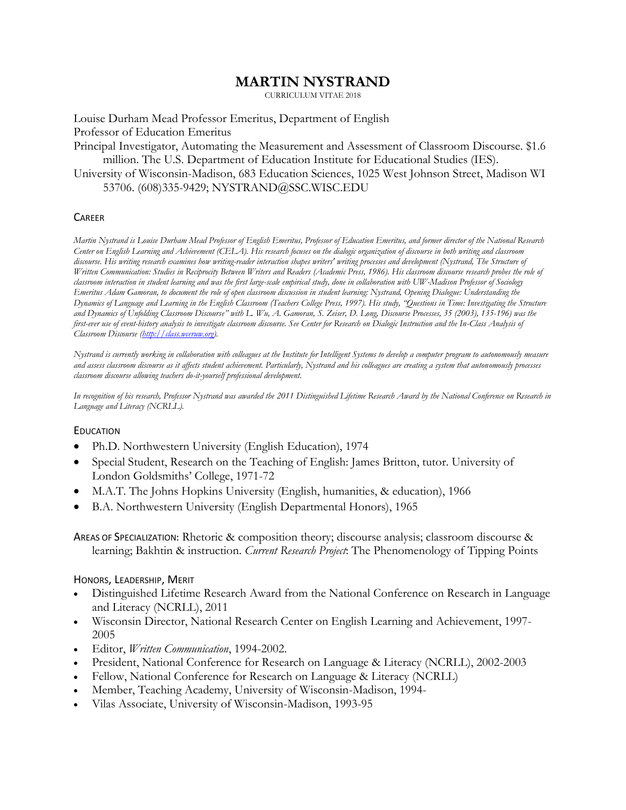# **MARTIN NYSTRAND**

CURRICULUM VITAE 2018

Louise Durham Mead Professor Emeritus, Department of English Professor of Education Emeritus

Principal Investigator, Automating the Measurement and Assessment of Classroom Discourse. \$1.6 million. The U.S. Department of Education Institute for Educational Studies (IES).

University of Wisconsin-Madison, 683 Education Sciences, 1025 West Johnson Street, Madison WI 53706. (608)335-9429; NYSTRAND@SSC.WISC.EDU

#### **CAREER**

*Martin Nystrand is Louise Durham Mead Professor of English Emeritus, Professor of Education Emeritus, and former director of the National Research Center on English Learning and Achievement (CELA). His research focuses on the dialogic organization of discourse in both writing and classroom discourse. His writing research examines how writing-reader interaction shapes writers' writing processes and development (Nystrand, The Structure of Written Communication: Studies in Reciprocity Between Writers and Readers (Academic Press, 1986). His classroom discourse research probes the role of classroom interaction in student learning and was the first large-scale empirical study, done in collaboration with UW-Madison Professor of Sociology Emeritus Adam Gamoran, to document the role of open classroom discussion in student learning: Nystrand, Opening Dialogue: Understanding the Dynamics of Language and Learning in the English Classroom (Teachers College Press, 1997). His study, "Questions in Time: Investigating the Structure and Dynamics of Unfolding Classroom Discourse" with L. Wu, A. Gamoran, S. Zeiser, D. Long, Discourse Processes, 35 (2003), 135-196) was the first-ever use of event-history analysis to investigate classroom discourse. See Center for Research on Dialogic Instruction and the In-Class Analysis of Classroom Discourse [\(http://class.wceruw.org\)](http://class.wceruw.org/).*

*Nystrand is currently working in collaboration with colleagues at the Institute for Intelligent Systems to develop a computer program to autonomously measure and assess classroom discourse as it affects student achievement. Particularly, Nystrand and his colleagues are creating a system that autonomously processes classroom discourse allowing teachers do-it-yourself professional development.*

*In recognition of his research, Professor Nystrand was awarded the 2011 Distinguished Lifetime Research Award by the National Conference on Research in Language and Literacy (NCRLL).*

#### EDUCATION

- Ph.D. Northwestern University (English Education), 1974
- Special Student, Research on the Teaching of English: James Britton, tutor. University of London Goldsmiths' College, 1971-72
- M.A.T. The Johns Hopkins University (English, humanities, & education), 1966
- B.A. Northwestern University (English Departmental Honors), 1965

AREAS OF SPECIALIZATION: Rhetoric & composition theory; discourse analysis; classroom discourse & learning; Bakhtin & instruction. *Current Research Project*: The Phenomenology of Tipping Points

#### HONORS, LEADERSHIP, MERIT

- Distinguished Lifetime Research Award from the National Conference on Research in Language and Literacy (NCRLL), 2011
- Wisconsin Director, National Research Center on English Learning and Achievement, 1997- 2005
- Editor, *Written Communication*, 1994-2002.
- President, National Conference for Research on Language & Literacy (NCRLL), 2002-2003
- Fellow, National Conference for Research on Language & Literacy (NCRLL)
- Member, Teaching Academy, University of Wisconsin-Madison, 1994-
- Vilas Associate, University of Wisconsin-Madison, 1993-95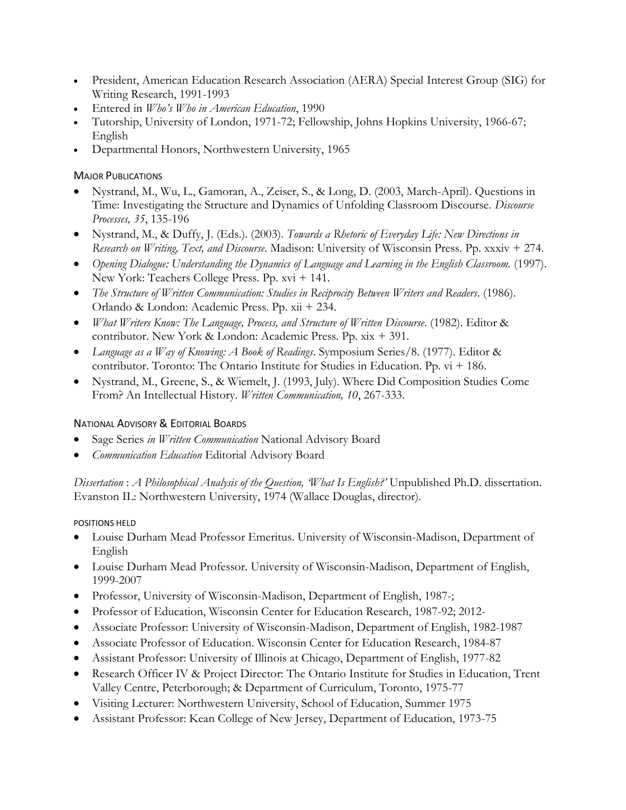- President, American Education Research Association (AERA) Special Interest Group (SIG) for Writing Research, 1991-1993
- Entered in *Who's Who in American Education*, 1990
- Tutorship, University of London, 1971-72; Fellowship, Johns Hopkins University, 1966-67; English
- Departmental Honors, Northwestern University, 1965

## MAJOR PUBLICATIONS

- Nystrand, M., Wu, L., Gamoran, A., Zeiser, S., & Long, D. (2003, March-April). Questions in Time: Investigating the Structure and Dynamics of Unfolding Classroom Discourse. *Discourse Processes, 35*, 135-196
- Nystrand, M., & Duffy, J. (Eds.). (2003). *Towards a Rhetoric of Everyday Life: New Directions in Research on Writing, Text, and Discourse*. Madison: University of Wisconsin Press. Pp. xxxiv + 274.
- *Opening Dialogue: Understanding the Dynamics of Language and Learning in the English Classroom.* (1997). New York: Teachers College Press. Pp. xvi + 141.
- *The Structure of Written Communication: Studies in Reciprocity Between Writers and Readers*. (1986). Orlando & London: Academic Press. Pp. xii + 234.
- *What Writers Know: The Language, Process, and Structure of Written Discourse*. (1982). Editor & contributor. New York & London: Academic Press. Pp. xix + 391.
- *Language as a Way of Knowing: A Book of Readings*. Symposium Series/8. (1977). Editor & contributor. Toronto: The Ontario Institute for Studies in Education. Pp. vi + 186.
- Nystrand, M., Greene, S., & Wiemelt, J. (1993, July). Where Did Composition Studies Come From? An Intellectual History. *Written Communication, 10*, 267-333.

# NATIONAL ADVISORY & EDITORIAL BOARDS

- Sage Series *in Written Communication* National Advisory Board
- *Communication Education* Editorial Advisory Board

*Dissertation* : *A Philosophical Analysis of the Question, 'What Is English?'* Unpublished Ph.D. dissertation. Evanston IL: Northwestern University, 1974 (Wallace Douglas, director).

## POSITIONS HELD

- Louise Durham Mead Professor Emeritus. University of Wisconsin-Madison, Department of English
- Louise Durham Mead Professor. University of Wisconsin-Madison, Department of English, 1999-2007
- Professor, University of Wisconsin-Madison, Department of English, 1987-;
- Professor of Education, Wisconsin Center for Education Research, 1987-92; 2012-
- Associate Professor: University of Wisconsin-Madison, Department of English, 1982-1987
- Associate Professor of Education. Wisconsin Center for Education Research, 1984-87
- Assistant Professor: University of Illinois at Chicago, Department of English, 1977-82
- Research Officer IV & Project Director: The Ontario Institute for Studies in Education, Trent Valley Centre, Peterborough; & Department of Curriculum, Toronto, 1975-77
- Visiting Lecturer: Northwestern University, School of Education, Summer 1975
- Assistant Professor: Kean College of New Jersey, Department of Education, 1973-75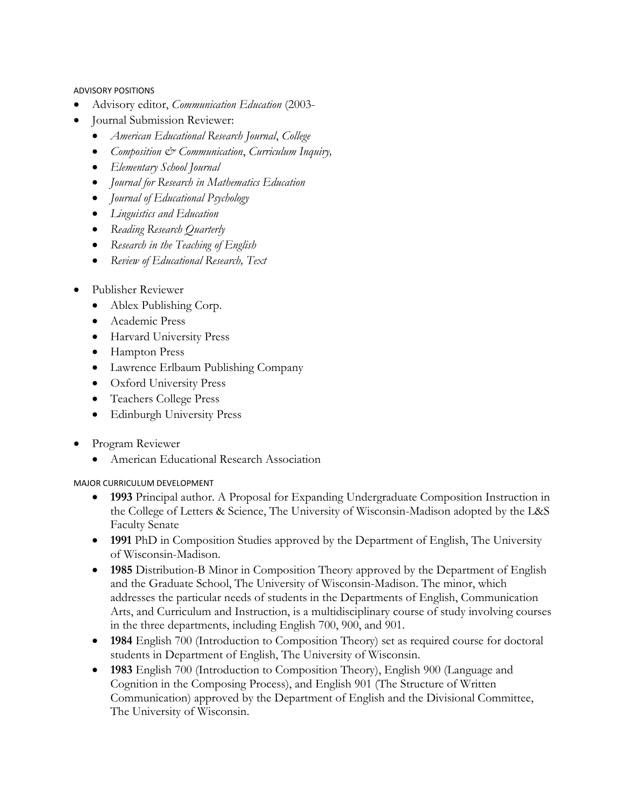ADVISORY POSITIONS

- Advisory editor, *Communication Education* (2003-
- Journal Submission Reviewer:
	- *American Educational Research Journal*, *College*
	- *Composition & Communication*, *Curriculum Inquiry,*
	- *Elementary School Journal*
	- *Journal for Research in Mathematics Education*
	- *Journal of Educational Psychology*
	- *Linguistics and Education*
	- *Reading Research Quarterly*
	- *Research in the Teaching of English*
	- *Review of Educational Research, Text*
- Publisher Reviewer
	- Ablex Publishing Corp.
	- Academic Press
	- Harvard University Press
	- Hampton Press
	- Lawrence Erlbaum Publishing Company
	- Oxford University Press
	- Teachers College Press
	- Edinburgh University Press
- Program Reviewer
	- American Educational Research Association

#### MAJOR CURRICULUM DEVELOPMENT

- **1993** Principal author. A Proposal for Expanding Undergraduate Composition Instruction in the College of Letters & Science, The University of Wisconsin-Madison adopted by the L&S Faculty Senate
- **1991** PhD in Composition Studies approved by the Department of English, The University of Wisconsin-Madison.
- **1985** Distribution-B Minor in Composition Theory approved by the Department of English and the Graduate School, The University of Wisconsin-Madison. The minor, which addresses the particular needs of students in the Departments of English, Communication Arts, and Curriculum and Instruction, is a multidisciplinary course of study involving courses in the three departments, including English 700, 900, and 901.
- **1984** English 700 (Introduction to Composition Theory) set as required course for doctoral students in Department of English, The University of Wisconsin.
- **1983** English 700 (Introduction to Composition Theory), English 900 (Language and Cognition in the Composing Process), and English 901 (The Structure of Written Communication) approved by the Department of English and the Divisional Committee, The University of Wisconsin.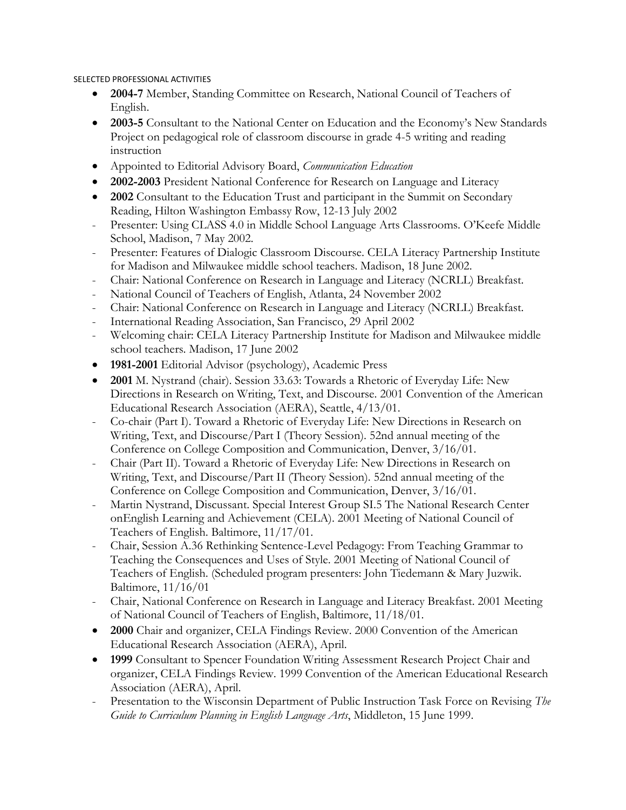#### SELECTED PROFESSIONAL ACTIVITIES

- **2004-7** Member, Standing Committee on Research, National Council of Teachers of English.
- **2003-5** Consultant to the National Center on Education and the Economy's New Standards Project on pedagogical role of classroom discourse in grade 4-5 writing and reading instruction
- Appointed to Editorial Advisory Board, *Communication Education*
- **2002-2003** President National Conference for Research on Language and Literacy
- **2002** Consultant to the Education Trust and participant in the Summit on Secondary Reading, Hilton Washington Embassy Row, 12-13 July 2002
- Presenter: Using CLASS 4.0 in Middle School Language Arts Classrooms. O'Keefe Middle School, Madison, 7 May 2002.
- Presenter: Features of Dialogic Classroom Discourse. CELA Literacy Partnership Institute for Madison and Milwaukee middle school teachers. Madison, 18 June 2002.
- Chair: National Conference on Research in Language and Literacy (NCRLL) Breakfast.
- National Council of Teachers of English, Atlanta, 24 November 2002
- Chair: National Conference on Research in Language and Literacy (NCRLL) Breakfast.
- International Reading Association, San Francisco, 29 April 2002
- Welcoming chair: CELA Literacy Partnership Institute for Madison and Milwaukee middle school teachers. Madison, 17 June 2002
- **1981-2001** Editorial Advisor (psychology), Academic Press
- **2001** M. Nystrand (chair). Session 33.63: Towards a Rhetoric of Everyday Life: New Directions in Research on Writing, Text, and Discourse. 2001 Convention of the American Educational Research Association (AERA), Seattle, 4/13/01.
- Co-chair (Part I). Toward a Rhetoric of Everyday Life: New Directions in Research on Writing, Text, and Discourse/Part I (Theory Session). 52nd annual meeting of the Conference on College Composition and Communication, Denver, 3/16/01.
- Chair (Part II). Toward a Rhetoric of Everyday Life: New Directions in Research on Writing, Text, and Discourse/Part II (Theory Session). 52nd annual meeting of the Conference on College Composition and Communication, Denver, 3/16/01.
- Martin Nystrand, Discussant. Special Interest Group SI.5 The National Research Center onEnglish Learning and Achievement (CELA). 2001 Meeting of National Council of Teachers of English. Baltimore, 11/17/01.
- Chair, Session A.36 Rethinking Sentence-Level Pedagogy: From Teaching Grammar to Teaching the Consequences and Uses of Style. 2001 Meeting of National Council of Teachers of English. (Scheduled program presenters: John Tiedemann & Mary Juzwik. Baltimore, 11/16/01
- Chair, National Conference on Research in Language and Literacy Breakfast. 2001 Meeting of National Council of Teachers of English, Baltimore, 11/18/01.
- **2000** Chair and organizer, CELA Findings Review. 2000 Convention of the American Educational Research Association (AERA), April.
- **1999** Consultant to Spencer Foundation Writing Assessment Research Project Chair and organizer, CELA Findings Review. 1999 Convention of the American Educational Research Association (AERA), April.
- Presentation to the Wisconsin Department of Public Instruction Task Force on Revising *The Guide to Curriculum Planning in English Language Arts*, Middleton, 15 June 1999.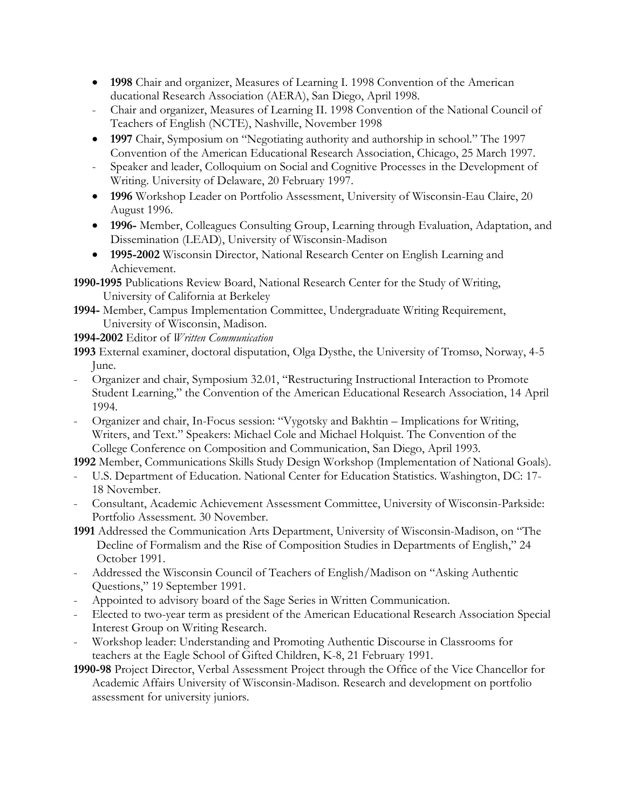- **1998** Chair and organizer, Measures of Learning I. 1998 Convention of the American ducational Research Association (AERA), San Diego, April 1998.
- Chair and organizer, Measures of Learning II. 1998 Convention of the National Council of Teachers of English (NCTE), Nashville, November 1998
- **1997** Chair, Symposium on "Negotiating authority and authorship in school." The 1997 Convention of the American Educational Research Association, Chicago, 25 March 1997.
- Speaker and leader, Colloquium on Social and Cognitive Processes in the Development of Writing. University of Delaware, 20 February 1997.
- **1996** Workshop Leader on Portfolio Assessment, University of Wisconsin-Eau Claire, 20 August 1996.
- **1996-** Member, Colleagues Consulting Group, Learning through Evaluation, Adaptation, and Dissemination (LEAD), University of Wisconsin-Madison
- **1995-2002** Wisconsin Director, National Research Center on English Learning and Achievement.

**1990-1995** Publications Review Board, National Research Center for the Study of Writing, University of California at Berkeley

**1994-** Member, Campus Implementation Committee, Undergraduate Writing Requirement, University of Wisconsin, Madison.

**1994-2002** Editor of *Written Communication*

- **1993** External examiner, doctoral disputation, Olga Dysthe, the University of Tromsø, Norway, 4-5 June.
- Organizer and chair, Symposium 32.01, "Restructuring Instructional Interaction to Promote Student Learning," the Convention of the American Educational Research Association, 14 April 1994.
- Organizer and chair, In-Focus session: "Vygotsky and Bakhtin Implications for Writing, Writers, and Text." Speakers: Michael Cole and Michael Holquist. The Convention of the College Conference on Composition and Communication, San Diego, April 1993.

**1992** Member, Communications Skills Study Design Workshop (Implementation of National Goals).

- U.S. Department of Education. National Center for Education Statistics. Washington, DC: 17-18 November.
- Consultant, Academic Achievement Assessment Committee, University of Wisconsin-Parkside: Portfolio Assessment. 30 November.
- **1991** Addressed the Communication Arts Department, University of Wisconsin-Madison, on "The Decline of Formalism and the Rise of Composition Studies in Departments of English," 24 October 1991.
- Addressed the Wisconsin Council of Teachers of English/Madison on "Asking Authentic Questions," 19 September 1991.
- Appointed to advisory board of the Sage Series in Written Communication.
- Elected to two-year term as president of the American Educational Research Association Special Interest Group on Writing Research.
- Workshop leader: Understanding and Promoting Authentic Discourse in Classrooms for teachers at the Eagle School of Gifted Children, K-8, 21 February 1991.
- **1990-98** Project Director, Verbal Assessment Project through the Office of the Vice Chancellor for Academic Affairs University of Wisconsin-Madison. Research and development on portfolio assessment for university juniors.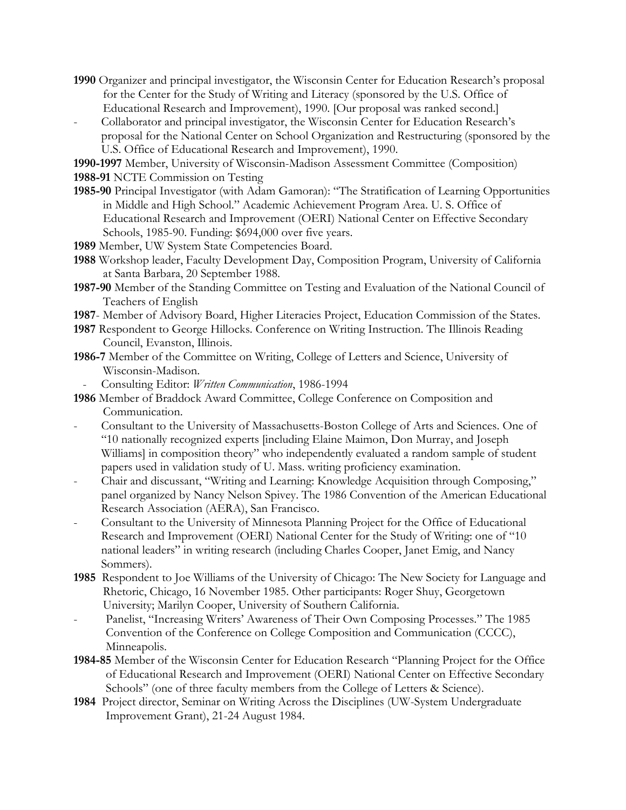- **1990** Organizer and principal investigator, the Wisconsin Center for Education Research's proposal for the Center for the Study of Writing and Literacy (sponsored by the U.S. Office of Educational Research and Improvement), 1990. [Our proposal was ranked second.]
- Collaborator and principal investigator, the Wisconsin Center for Education Research's proposal for the National Center on School Organization and Restructuring (sponsored by the U.S. Office of Educational Research and Improvement), 1990.

**1990-1997** Member, University of Wisconsin-Madison Assessment Committee (Composition) **1988-91** NCTE Commission on Testing

- **1985-90** Principal Investigator (with Adam Gamoran): "The Stratification of Learning Opportunities in Middle and High School." Academic Achievement Program Area. U. S. Office of Educational Research and Improvement (OERI) National Center on Effective Secondary Schools, 1985-90. Funding: \$694,000 over five years.
- **1989** Member, UW System State Competencies Board.
- **1988** Workshop leader, Faculty Development Day, Composition Program, University of California at Santa Barbara, 20 September 1988.
- **1987-90** Member of the Standing Committee on Testing and Evaluation of the National Council of Teachers of English
- **1987** Member of Advisory Board, Higher Literacies Project, Education Commission of the States.
- **1987** Respondent to George Hillocks. Conference on Writing Instruction. The Illinois Reading Council, Evanston, Illinois.
- **1986-7** Member of the Committee on Writing, College of Letters and Science, University of Wisconsin-Madison.
	- Consulting Editor: *Written Communication*, 1986-1994
- **1986** Member of Braddock Award Committee, College Conference on Composition and Communication.
- Consultant to the University of Massachusetts-Boston College of Arts and Sciences. One of "10 nationally recognized experts [including Elaine Maimon, Don Murray, and Joseph Williams] in composition theory" who independently evaluated a random sample of student papers used in validation study of U. Mass. writing proficiency examination.
- Chair and discussant, "Writing and Learning: Knowledge Acquisition through Composing," panel organized by Nancy Nelson Spivey. The 1986 Convention of the American Educational Research Association (AERA), San Francisco.
- Consultant to the University of Minnesota Planning Project for the Office of Educational Research and Improvement (OERI) National Center for the Study of Writing: one of "10 national leaders" in writing research (including Charles Cooper, Janet Emig, and Nancy Sommers).
- **1985** Respondent to Joe Williams of the University of Chicago: The New Society for Language and Rhetoric, Chicago, 16 November 1985. Other participants: Roger Shuy, Georgetown University; Marilyn Cooper, University of Southern California.
- Panelist, "Increasing Writers' Awareness of Their Own Composing Processes." The 1985 Convention of the Conference on College Composition and Communication (CCCC), Minneapolis.
- **1984-85** Member of the Wisconsin Center for Education Research "Planning Project for the Office of Educational Research and Improvement (OERI) National Center on Effective Secondary Schools" (one of three faculty members from the College of Letters & Science).
- **1984** Project director, Seminar on Writing Across the Disciplines (UW-System Undergraduate Improvement Grant), 21-24 August 1984.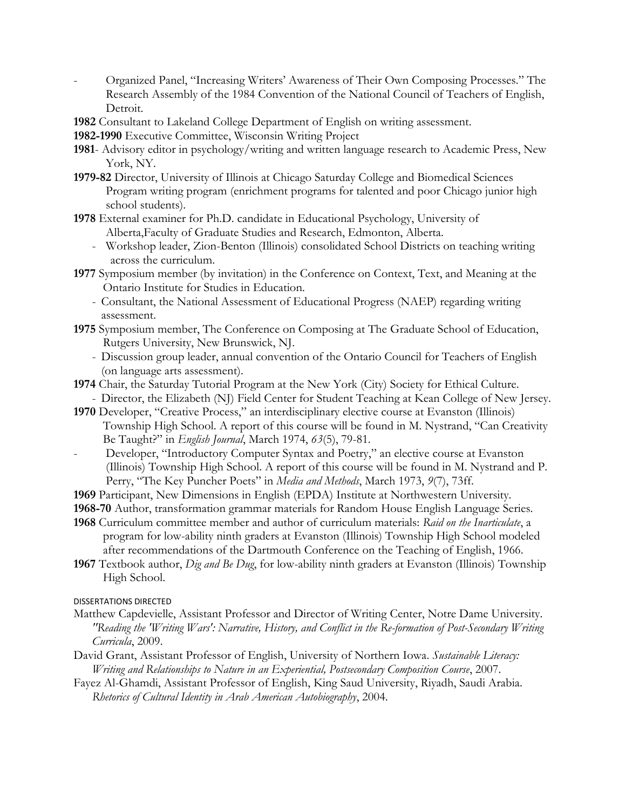- Organized Panel, "Increasing Writers' Awareness of Their Own Composing Processes." The Research Assembly of the 1984 Convention of the National Council of Teachers of English, Detroit.
- **1982** Consultant to Lakeland College Department of English on writing assessment.
- **1982-1990** Executive Committee, Wisconsin Writing Project
- **1981** Advisory editor in psychology/writing and written language research to Academic Press, New York, NY.
- **1979-82** Director, University of Illinois at Chicago Saturday College and Biomedical Sciences Program writing program (enrichment programs for talented and poor Chicago junior high school students).
- **1978** External examiner for Ph.D. candidate in Educational Psychology, University of Alberta,Faculty of Graduate Studies and Research, Edmonton, Alberta.
	- Workshop leader, Zion-Benton (Illinois) consolidated School Districts on teaching writing across the curriculum.
- **1977** Symposium member (by invitation) in the Conference on Context, Text, and Meaning at the Ontario Institute for Studies in Education.
	- Consultant, the National Assessment of Educational Progress (NAEP) regarding writing assessment.
- **1975** Symposium member, The Conference on Composing at The Graduate School of Education, Rutgers University, New Brunswick, NJ.
	- Discussion group leader, annual convention of the Ontario Council for Teachers of English (on language arts assessment).
- **1974** Chair, the Saturday Tutorial Program at the New York (City) Society for Ethical Culture.
- Director, the Elizabeth (NJ) Field Center for Student Teaching at Kean College of New Jersey. **1970** Developer, "Creative Process," an interdisciplinary elective course at Evanston (Illinois)
- Township High School. A report of this course will be found in M. Nystrand, "Can Creativity Be Taught?" in *English Journal*, March 1974, *63*(5), 79-81.
- Developer, "Introductory Computer Syntax and Poetry," an elective course at Evanston (Illinois) Township High School. A report of this course will be found in M. Nystrand and P. Perry, "The Key Puncher Poets" in *Media and Methods*, March 1973, *9*(7), 73ff.
- **1969** Participant, New Dimensions in English (EPDA) Institute at Northwestern University.
- **1968-70** Author, transformation grammar materials for Random House English Language Series.
- **1968** Curriculum committee member and author of curriculum materials: *Raid on the Inarticulate*, a program for low-ability ninth graders at Evanston (Illinois) Township High School modeled after recommendations of the Dartmouth Conference on the Teaching of English, 1966.
- **1967** Textbook author, *Dig and Be Dug*, for low-ability ninth graders at Evanston (Illinois) Township High School.

DISSERTATIONS DIRECTED

- Matthew Capdevielle, Assistant Professor and Director of Writing Center, Notre Dame University. *"Reading the 'Writing Wars': Narrative, History, and Conflict in the Re-formation of Post-Secondary Writing Curricula*, 2009.
- David Grant, Assistant Professor of English, University of Northern Iowa. *Sustainable Literacy: Writing and Relationships to Nature in an Experiential, Postsecondary Composition Course*, 2007.
- Fayez Al-Ghamdi, Assistant Professor of English, King Saud University, Riyadh, Saudi Arabia. *Rhetorics of Cultural Identity in Arab American Autobiography*, 2004.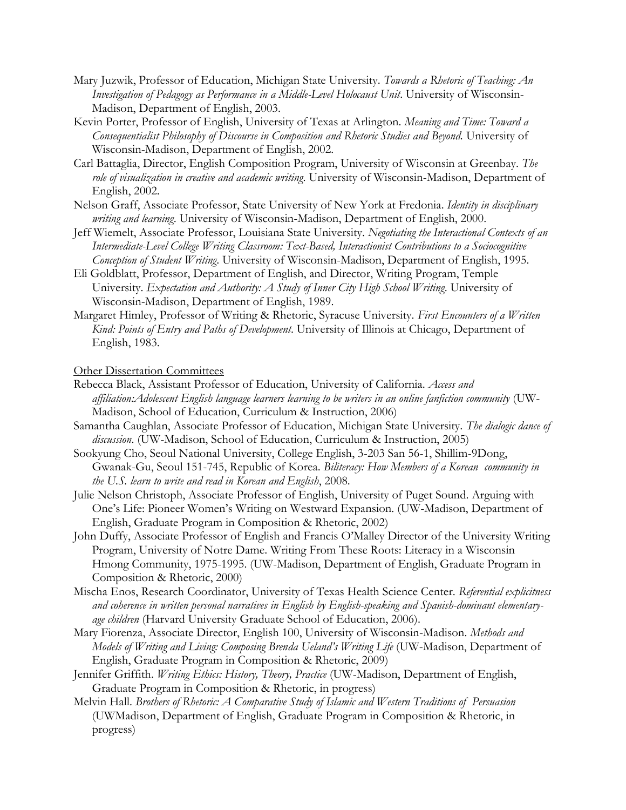- Mary Juzwik, Professor of Education, Michigan State University. *Towards a Rhetoric of Teaching: An Investigation of Pedagogy as Performance in a Middle-Level Holocaust Unit*. University of Wisconsin-Madison, Department of English, 2003.
- Kevin Porter, Professor of English, University of Texas at Arlington. *Meaning and Time: Toward a Consequentialist Philosophy of Discourse in Composition and Rhetoric Studies and Beyond.* University of Wisconsin-Madison, Department of English, 2002.
- Carl Battaglia, Director, English Composition Program, University of Wisconsin at Greenbay. *The role of visualization in creative and academic writing*. University of Wisconsin-Madison, Department of English, 2002.
- Nelson Graff, Associate Professor, State University of New York at Fredonia. *Identity in disciplinary writing and learning*. University of Wisconsin-Madison, Department of English, 2000.
- Jeff Wiemelt, Associate Professor, Louisiana State University. *Negotiating the Interactional Contexts of an Intermediate-Level College Writing Classroom: Text-Based, Interactionist Contributions to a Sociocognitive Conception of Student Writing*. University of Wisconsin-Madison, Department of English, 1995.
- Eli Goldblatt, Professor, Department of English, and Director, Writing Program, Temple University. *Expectation and Authority: A Study of Inner City High School Writing*. University of Wisconsin-Madison, Department of English, 1989.
- Margaret Himley, Professor of Writing & Rhetoric, Syracuse University. *First Encounters of a Written Kind: Points of Entry and Paths of Development*. University of Illinois at Chicago, Department of English, 1983.

Other Dissertation Committees

- Rebecca Black, Assistant Professor of Education, University of California. *Access and affiliation:Adolescent English language learners learning to be writers in an online fanfiction community* (UW-Madison, School of Education, Curriculum & Instruction, 2006)
- Samantha Caughlan, Associate Professor of Education, Michigan State University. *The dialogic dance of discussion*. (UW-Madison, School of Education, Curriculum & Instruction, 2005)
- Sookyung Cho, Seoul National University, College English, 3-203 San 56-1, Shillim-9Dong, Gwanak-Gu, Seoul 151-745, Republic of Korea. *Biliteracy: How Members of a Korean community in the U.S. learn to write and read in Korean and English*, 2008.
- Julie Nelson Christoph, Associate Professor of English, University of Puget Sound. Arguing with One's Life: Pioneer Women's Writing on Westward Expansion. (UW-Madison, Department of English, Graduate Program in Composition & Rhetoric, 2002)
- John Duffy, Associate Professor of English and Francis O'Malley Director of the University Writing Program, University of Notre Dame. Writing From These Roots: Literacy in a Wisconsin Hmong Community, 1975-1995. (UW-Madison, Department of English, Graduate Program in Composition & Rhetoric, 2000)
- Mischa Enos, Research Coordinator, University of Texas Health Science Center. *Referential explicitness and coherence in written personal narratives in English by English-speaking and Spanish-dominant elementaryage children* (Harvard University Graduate School of Education, 2006).
- Mary Fiorenza, Associate Director, English 100, University of Wisconsin-Madison. *Methods and Models of Writing and Living: Composing Brenda Ueland's Writing Life* (UW-Madison, Department of English, Graduate Program in Composition & Rhetoric, 2009)
- Jennifer Griffith. *Writing Ethics: History, Theory, Practice* (UW-Madison, Department of English, Graduate Program in Composition & Rhetoric, in progress)
- Melvin Hall. *Brothers of Rhetoric: A Comparative Study of Islamic and Western Traditions of Persuasion*  (UWMadison, Department of English, Graduate Program in Composition & Rhetoric, in progress)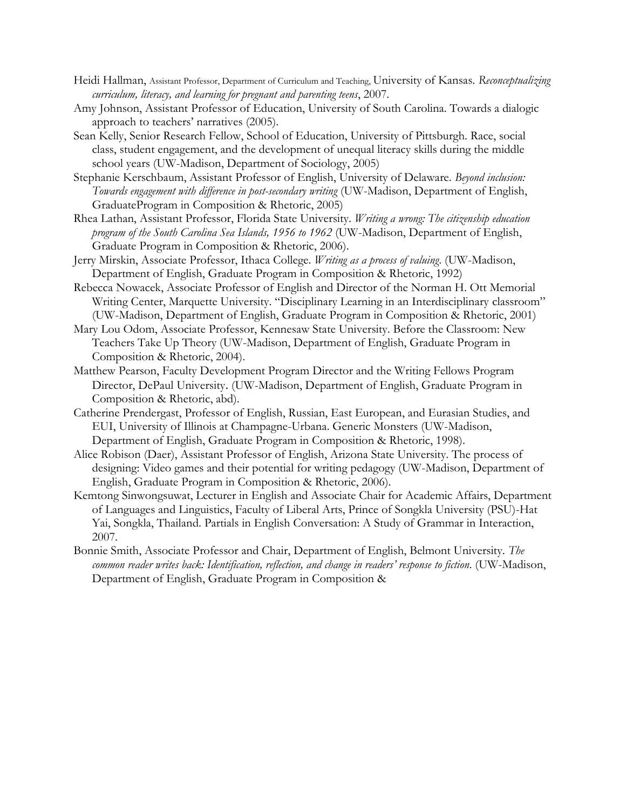- Heidi Hallman, Assistant Professor, Department of Curriculum and Teaching, University of Kansas. *Reconceptualizing curriculum, literacy, and learning for pregnant and parenting teens*, 2007.
- Amy Johnson, Assistant Professor of Education, University of South Carolina. Towards a dialogic approach to teachers' narratives (2005).
- Sean Kelly, Senior Research Fellow, School of Education, University of Pittsburgh. Race, social class, student engagement, and the development of unequal literacy skills during the middle school years (UW-Madison, Department of Sociology, 2005)
- Stephanie Kerschbaum, Assistant Professor of English, University of Delaware. *Beyond inclusion: Towards engagement with difference in post-secondary writing* (UW-Madison, Department of English, GraduateProgram in Composition & Rhetoric, 2005)
- Rhea Lathan, Assistant Professor, Florida State University. *Writing a wrong: The citizenship education program of the South Carolina Sea Islands, 1956 to 1962* (UW-Madison, Department of English, Graduate Program in Composition & Rhetoric, 2006).
- Jerry Mirskin, Associate Professor, Ithaca College. *Writing as a process of valuing*. (UW-Madison, Department of English, Graduate Program in Composition & Rhetoric, 1992)
- Rebecca Nowacek, Associate Professor of English and Director of the Norman H. Ott Memorial Writing Center, Marquette University. "Disciplinary Learning in an Interdisciplinary classroom" (UW-Madison, Department of English, Graduate Program in Composition & Rhetoric, 2001)
- Mary Lou Odom, Associate Professor, Kennesaw State University. Before the Classroom: New Teachers Take Up Theory (UW-Madison, Department of English, Graduate Program in Composition & Rhetoric, 2004).
- Matthew Pearson, Faculty Development Program Director and the Writing Fellows Program Director, DePaul University. (UW-Madison, Department of English, Graduate Program in Composition & Rhetoric, abd).
- Catherine Prendergast, Professor of English, Russian, East European, and Eurasian Studies, and EUI, University of Illinois at Champagne-Urbana. Generic Monsters (UW-Madison, Department of English, Graduate Program in Composition & Rhetoric, 1998).
- Alice Robison (Daer), Assistant Professor of English, Arizona State University. The process of designing: Video games and their potential for writing pedagogy (UW-Madison, Department of English, Graduate Program in Composition & Rhetoric, 2006).
- Kemtong Sinwongsuwat, Lecturer in English and Associate Chair for Academic Affairs, Department of Languages and Linguistics, Faculty of Liberal Arts, Prince of Songkla University (PSU)-Hat Yai, Songkla, Thailand. Partials in English Conversation: A Study of Grammar in Interaction, 2007.
- Bonnie Smith, Associate Professor and Chair, Department of English, Belmont University. *The common reader writes back: Identification, reflection, and change in readers' response to fiction*. (UW-Madison, Department of English, Graduate Program in Composition &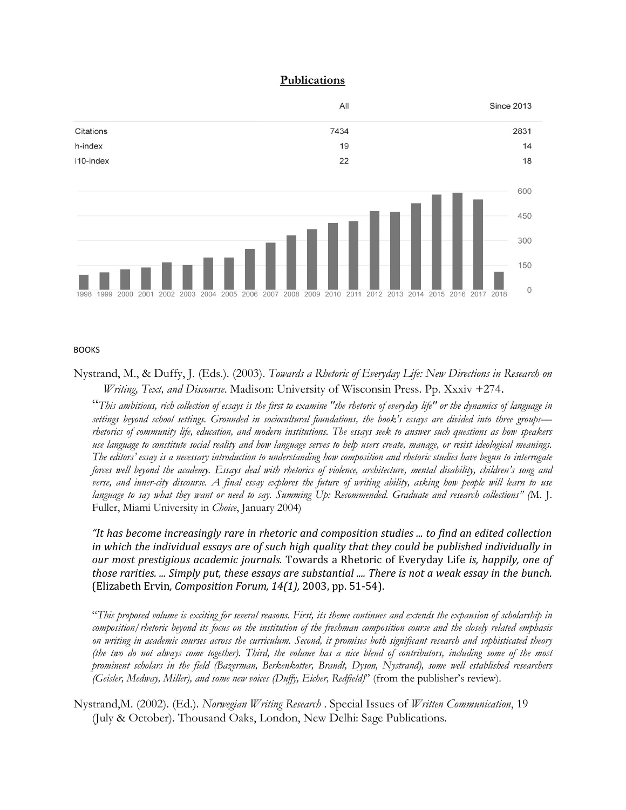#### **Publications**



BOOKS

Nystrand, M., & Duffy, J. (Eds.). (2003). *Towards a Rhetoric of Everyday Life: New Directions in Research on Writing, Text, and Discourse*. Madison: University of Wisconsin Press. Pp. Xxxiv +274.

"*This ambitious, rich collection of essays is the first to examine "the rhetoric of everyday life" or the dynamics of language in settings beyond school settings. Grounded in sociocultural foundations, the book's essays are divided into three groups–– rhetorics of community life, education, and modern institutions. The essays seek to answer such questions as how speakers use language to constitute social reality and how language serves to help users create, manage, or resist ideological meanings. The editors' essay is a necessary introduction to understanding how composition and rhetoric studies have begun to interrogate forces well beyond the academy. Essays deal with rhetorics of violence, architecture, mental disability, children's song and verse, and inner-city discourse. A final essay explores the future of writing ability, asking how people will learn to use language to say what they want or need to say. Summing Up: Recommended. Graduate and research collections" (*M. J. Fuller, Miami University in *Choice*, January 2004)

*"It has become increasingly rare in rhetoric and composition studies ... to find an edited collection in which the individual essays are of such high quality that they could be published individually in our most prestigious academic journals.* Towards a Rhetoric of Everyday Life *is, happily, one of those rarities. ... Simply put, these essays are substantial .... There is not a weak essay in the bunch.*  (Elizabeth Ervin*, Composition Forum, 14(1),* 2003, pp. 51-54).

"*This proposed volume is exciting for several reasons. First, its theme continues and extends the expansion of scholarship in composition/rhetoric beyond its focus on the institution of the freshman composition course and the closely related emphasis on writing in academic courses across the curriculum. Second, it promises both significant research and sophisticated theory (the two do not always come together). Third, the volume has a nice blend of contributors, including some of the most prominent scholars in the field (Bazerman, Berkenkotter, Brandt, Dyson, Nystrand), some well established researchers (Geisler, Medway, Miller), and some new voices (Duffy, Eicher, Redfield)*" (from the publisher's review).

Nystrand,M. (2002). (Ed.). *Norwegian Writing Research* . Special Issues of *Written Communication*, 19 (July & October). Thousand Oaks, London, New Delhi: Sage Publications.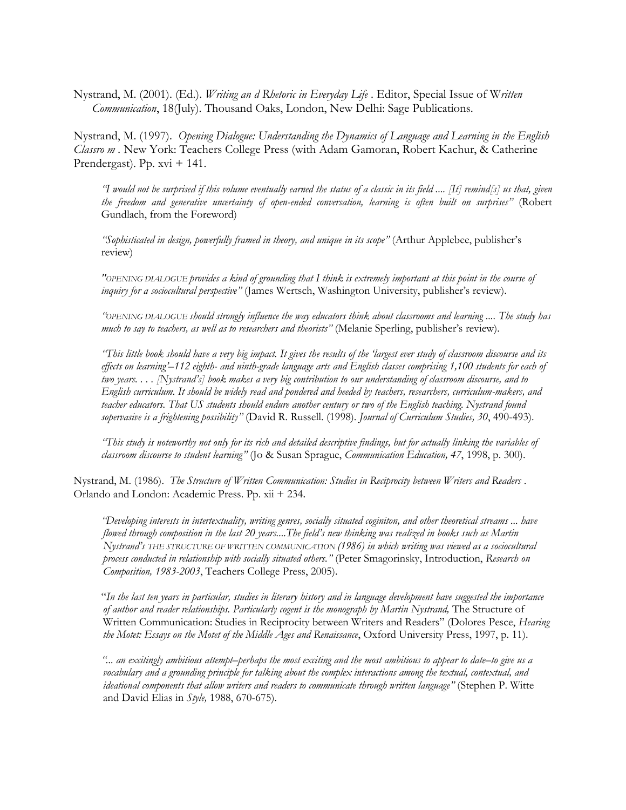Nystrand, M. (2001). (Ed.). *Writing an d Rhetoric in Everyday Life* . Editor, Special Issue of W*ritten Communication*, 18(July). Thousand Oaks, London, New Delhi: Sage Publications.

Nystrand, M. (1997). *Opening Dialogue: Understanding the Dynamics of Language and Learning in the English Classro m .* New York: Teachers College Press (with Adam Gamoran, Robert Kachur, & Catherine Prendergast). Pp. xvi + 141.

*"I would not be surprised if this volume eventually earned the status of a classic in its field .... [It] remind[s] us that, given the freedom and generative uncertainty of open-ended conversation, learning is often built on surprises"* (Robert Gundlach, from the Foreword)

*"Sophisticated in design, powerfully framed in theory, and unique in its scope"* (Arthur Applebee, publisher's review)

*"OPENING DIALOGUE provides a kind of grounding that I think is extremely important at this point in the course of inquiry for a sociocultural perspective"* (James Wertsch, Washington University, publisher's review).

*"OPENING DIALOGUE should strongly influence the way educators think about classrooms and learning .... The study has much to say to teachers, as well as to researchers and theorists"* (Melanie Sperling, publisher's review).

*"This little book should have a very big impact. It gives the results of the 'largest ever study of classroom discourse and its effects on learning'–112 eighth- and ninth-grade language arts and English classes comprising 1,100 students for each of two years. . . . [Nystrand's] book makes a very big contribution to our understanding of classroom discourse, and to English curriculum. It should be widely read and pondered and heeded by teachers, researchers, curriculum-makers, and teacher educators. That US students should endure another century or two of the English teaching. Nystrand found sopervasive is a frightening possibility"* (David R. Russell. (1998). *Journal of Curriculum Studies, 30*, 490-493).

*"This study is noteworthy not only for its rich and detailed descriptive findings, but for actually linking the variables of classroom discourse to student learning"* (Jo & Susan Sprague, *Communication Education, 47*, 1998, p. 300).

Nystrand, M. (1986). *The Structure of Written Communication: Studies in Reciprocity between Writers and Readers* . Orlando and London: Academic Press. Pp. xii + 234.

*"Developing interests in intertextuality, writing genres, socially situated coginiton, and other theoretical streams ... have flowed through composition in the last 20 years....The field's new thinking was realized in books such as Martin Nystrand's THE STRUCTURE OF WRITTEN COMMUNICATION (1986) in which writing was viewed as a sociocultural process conducted in relationship with socially situated others."* (Peter Smagorinsky, Introduction, *Research on Composition, 1983-2003*, Teachers College Press, 2005).

"*In the last ten years in particular, studies in literary history and in language development have suggested the importance of author and reader relationships. Particularly cogent is the monograph by Martin Nystrand,* The Structure of Written Communication: Studies in Reciprocity between Writers and Readers" (Dolores Pesce, *Hearing the Motet: Essays on the Motet of the Middle Ages and Renaissance*, Oxford University Press, 1997, p. 11).

*"... an excitingly ambitious attempt–perhaps the most exciting and the most ambitious to appear to date–to give us a vocabulary and a grounding principle for talking about the complex interactions among the textual, contextual, and ideational components that allow writers and readers to communicate through written language"* (Stephen P. Witte and David Elias in *Style,* 1988, 670-675).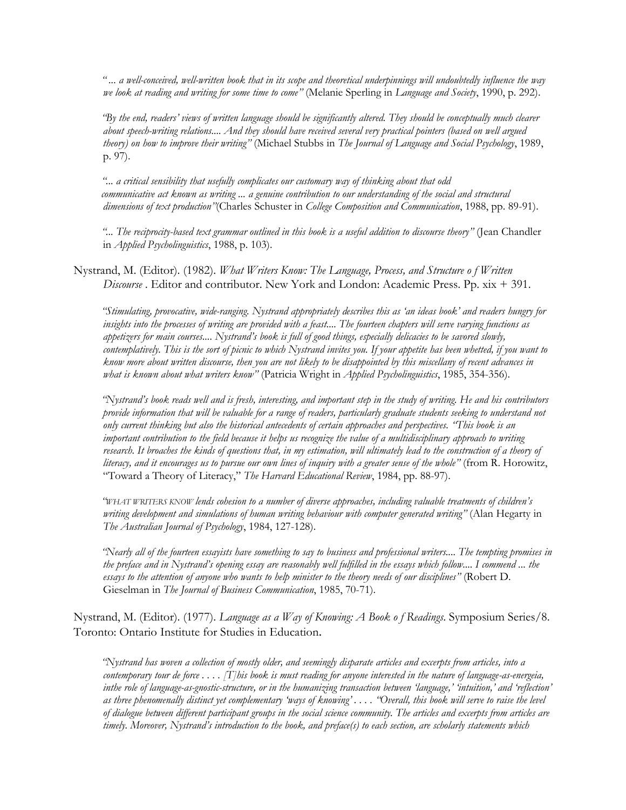*" ... a well-conceived, well-written book that in its scope and theoretical underpinnings will undoubtedly influence the way we look at reading and writing for some time to come"* (Melanie Sperling in *Language and Society*, 1990, p. 292).

*"By the end, readers' views of written language should be significantly altered. They should be conceptually much clearer about speech-writing relations.... And they should have received several very practical pointers (based on well argued theory) on how to improve their writing"* (Michael Stubbs in *The Journal of Language and Social Psychology*, 1989, p. 97).

*"... a critical sensibility that usefully complicates our customary way of thinking about that odd communicative act known as writing ... a genuine contribution to our understanding of the social and structural dimensions of text production"*(Charles Schuster in *College Composition and Communication*, 1988, pp. 89-91).

*"... The reciprocity-based text grammar outlined in this book is a useful addition to discourse theory"* (Jean Chandler in *Applied Psycholinguistics*, 1988, p. 103).

Nystrand, M. (Editor). (1982). *What Writers Know: The Language, Process, and Structure o f Written Discourse* . Editor and contributor. New York and London: Academic Press. Pp. xix + 391.

*"Stimulating, provocative, wide-ranging. Nystrand appropriately describes this as 'an ideas book' and readers hungry for insights into the processes of writing are provided with a feast.... The fourteen chapters will serve varying functions as appetizers for main courses.... Nystrand's book is full of good things, especially delicacies to be savored slowly, contemplatively. This is the sort of picnic to which Nystrand invites you. If your appetite has been whetted, if you want to know more about written discourse, then you are not likely to be disappointed by this miscellany of recent advances in what is known about what writers know"* (Patricia Wright in *Applied Psycholinguistics*, 1985, 354-356).

*"Nystrand's book reads well and is fresh, interesting, and important step in the study of writing. He and his contributors provide information that will be valuable for a range of readers, particularly graduate students seeking to understand not only current thinking but also the historical antecedents of certain approaches and perspectives. "This book is an important contribution to the field because it helps us recognize the value of a multidisciplinary approach to writing research.* It broaches the kinds of questions that, in my estimation, will ultimately lead to the construction of a theory of *literacy, and it encourages us to pursue our own lines of inquiry with a greater sense of the whole"* (from R. Horowitz, "Toward a Theory of Literacy," *The Harvard Educational Review*, 1984, pp. 88-97).

*"WHAT WRITERS KNOW lends cohesion to a number of diverse approaches, including valuable treatments of children's writing development and simulations of human writing behaviour with computer generated writing"* (Alan Hegarty in *The Australian Journal of Psychology*, 1984, 127-128).

*"Nearly all of the fourteen essayists have something to say to business and professional writers.... The tempting promises in the preface and in Nystrand's opening essay are reasonably well fulfilled in the essays which follow.... I commend ... the essays to the attention of anyone who wants to help minister to the theory needs of our disciplines"* (Robert D. Gieselman in *The Journal of Business Communication*, 1985, 70-71).

Nystrand, M. (Editor). (1977). *Language as a Way of Knowing: A Book o f Readings*. Symposium Series/8. Toronto: Ontario Institute for Studies in Education.

*"Nystrand has woven a collection of mostly older, and seemingly disparate articles and excerpts from articles, into a contemporary tour de force . . . . [T]his book is must reading for anyone interested in the nature of language-as-energeia, inthe role of language-as-gnostic-structure, or in the humanizing transaction between 'language,' 'intuition,' and 'reflection' as three phenomenally distinct yet complementary 'ways of knowing' . . . . "Overall, this book will serve to raise the level of dialogue between different participant groups in the social science community. The articles and excerpts from articles are timely. Moreover, Nystrand's introduction to the book, and preface(s) to each section, are scholarly statements which*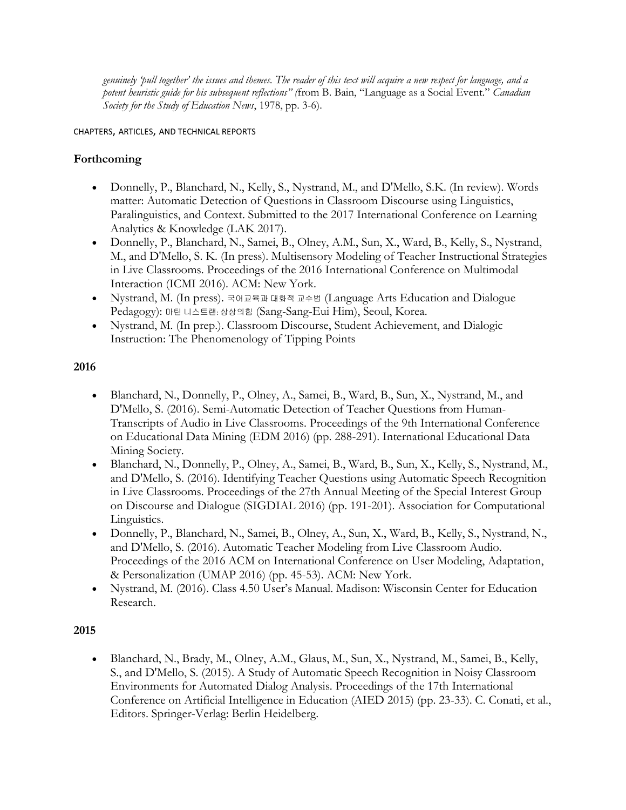*genuinely 'pull together' the issues and themes. The reader of this text will acquire a new respect for language, and a potent heuristic guide for his subsequent reflections" (*from B. Bain, "Language as a Social Event." *Canadian Society for the Study of Education News*, 1978, pp. 3-6).

CHAPTERS, ARTICLES, AND TECHNICAL REPORTS

## **Forthcoming**

- Donnelly, P., Blanchard, N., Kelly, S., Nystrand, M., and D'Mello, S.K. (In review). Words matter: Automatic Detection of Questions in Classroom Discourse using Linguistics, Paralinguistics, and Context. Submitted to the 2017 International Conference on Learning Analytics & Knowledge (LAK 2017).
- Donnelly, P., Blanchard, N., Samei, B., Olney, A.M., Sun, X., Ward, B., Kelly, S., Nystrand, M., and D'Mello, S. K. (In press). Multisensory Modeling of Teacher Instructional Strategies in Live Classrooms. Proceedings of the 2016 International Conference on Multimodal Interaction (ICMI 2016). ACM: New York.
- Nystrand, M. (In press). 국어교육과 대화적 교수법 (Language Arts Education and Dialogue Pedagogy): 마틴 니스트랜: 상상의힘 (Sang-Sang-Eui Him), Seoul, Korea.
- Nystrand, M. (In prep.). Classroom Discourse, Student Achievement, and Dialogic Instruction: The Phenomenology of Tipping Points

## **2016**

- Blanchard, N., Donnelly, P., Olney, A., Samei, B., Ward, B., Sun, X., Nystrand, M., and D'Mello, S. (2016). Semi-Automatic Detection of Teacher Questions from Human-Transcripts of Audio in Live Classrooms. Proceedings of the 9th International Conference on Educational Data Mining (EDM 2016) (pp. 288-291). International Educational Data Mining Society.
- Blanchard, N., Donnelly, P., Olney, A., Samei, B., Ward, B., Sun, X., Kelly, S., Nystrand, M., and D'Mello, S. (2016). Identifying Teacher Questions using Automatic Speech Recognition in Live Classrooms. Proceedings of the 27th Annual Meeting of the Special Interest Group on Discourse and Dialogue (SIGDIAL 2016) (pp. 191-201). Association for Computational Linguistics.
- Donnelly, P., Blanchard, N., Samei, B., Olney, A., Sun, X., Ward, B., Kelly, S., Nystrand, N., and D'Mello, S. (2016). Automatic Teacher Modeling from Live Classroom Audio. Proceedings of the 2016 ACM on International Conference on User Modeling, Adaptation, & Personalization (UMAP 2016) (pp. 45-53). ACM: New York.
- Nystrand, M. (2016). Class 4.50 User's Manual. Madison: Wisconsin Center for Education Research.

# **2015**

 Blanchard, N., Brady, M., Olney, A.M., Glaus, M., Sun, X., Nystrand, M., Samei, B., Kelly, S., and D'Mello, S. (2015). A Study of Automatic Speech Recognition in Noisy Classroom Environments for Automated Dialog Analysis. Proceedings of the 17th International Conference on Artificial Intelligence in Education (AIED 2015) (pp. 23-33). C. Conati, et al., Editors. Springer-Verlag: Berlin Heidelberg.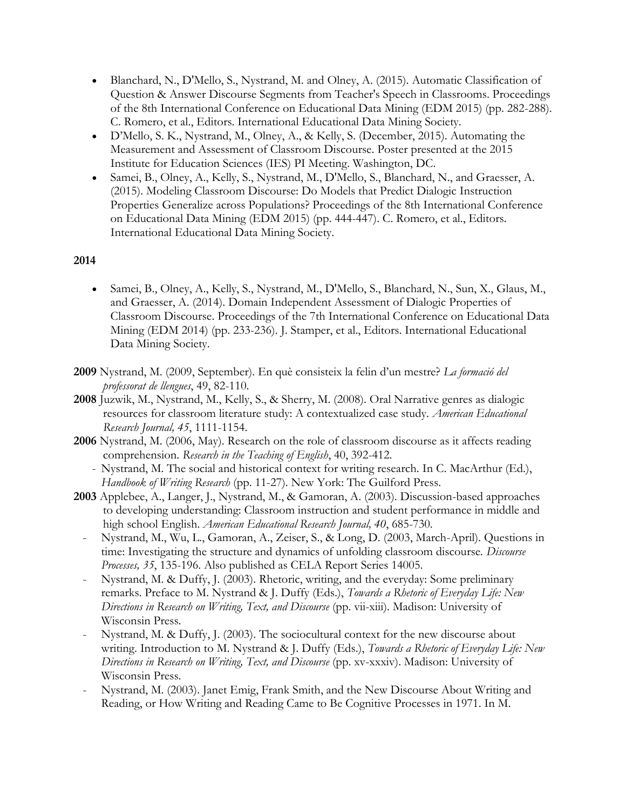- Blanchard, N., D'Mello, S., Nystrand, M. and Olney, A. (2015). Automatic Classification of Question & Answer Discourse Segments from Teacher's Speech in Classrooms. Proceedings of the 8th International Conference on Educational Data Mining (EDM 2015) (pp. 282-288). C. Romero, et al., Editors. International Educational Data Mining Society.
- D'Mello, S. K., Nystrand, M., Olney, A., & Kelly, S. (December, 2015). Automating the Measurement and Assessment of Classroom Discourse. Poster presented at the 2015 Institute for Education Sciences (IES) PI Meeting. Washington, DC.
- Samei, B., Olney, A., Kelly, S., Nystrand, M., D'Mello, S., Blanchard, N., and Graesser, A. (2015). Modeling Classroom Discourse: Do Models that Predict Dialogic Instruction Properties Generalize across Populations? Proceedings of the 8th International Conference on Educational Data Mining (EDM 2015) (pp. 444-447). C. Romero, et al., Editors. International Educational Data Mining Society.

### **2014**

- Samei, B., Olney, A., Kelly, S., Nystrand, M., D'Mello, S., Blanchard, N., Sun, X., Glaus, M., and Graesser, A. (2014). Domain Independent Assessment of Dialogic Properties of Classroom Discourse. Proceedings of the 7th International Conference on Educational Data Mining (EDM 2014) (pp. 233-236). J. Stamper, et al., Editors. International Educational Data Mining Society.
- **2009** Nystrand, M. (2009, September). En què consisteix la felin d'un mestre? *La formació del professorat de llengues*, 49, 82-110.
- **2008** Juzwik, M., Nystrand, M., Kelly, S., & Sherry, M. (2008). Oral Narrative genres as dialogic resources for classroom literature study: A contextualized case study. *American Educational Research Journal, 45*, 1111-1154.
- **2006** Nystrand, M. (2006, May). Research on the role of classroom discourse as it affects reading comprehension. *Research in the Teaching of English*, 40, 392-412.
	- Nystrand, M. The social and historical context for writing research. In C. MacArthur (Ed.), *Handbook of Writing Research* (pp. 11-27). New York: The Guilford Press.
- **2003** Applebee, A., Langer, J., Nystrand, M., & Gamoran, A. (2003). Discussion-based approaches to developing understanding: Classroom instruction and student performance in middle and high school English. *American Educational Research Journal, 40*, 685-730.
	- Nystrand, M., Wu, L., Gamoran, A., Zeiser, S., & Long, D. (2003, March-April). Questions in time: Investigating the structure and dynamics of unfolding classroom discourse. *Discourse Processes, 35*, 135-196. Also published as CELA Report Series 14005.
	- Nystrand, M. & Duffy, J. (2003). Rhetoric, writing, and the everyday: Some preliminary remarks. Preface to M. Nystrand & J. Duffy (Eds.), *Towards a Rhetoric of Everyday Life: New Directions in Research on Writing, Text, and Discourse* (pp. vii-xiii). Madison: University of Wisconsin Press.
	- Nystrand, M. & Duffy, J. (2003). The sociocultural context for the new discourse about writing. Introduction to M. Nystrand & J. Duffy (Eds.), *Towards a Rhetoric of Everyday Life: New Directions in Research on Writing, Text, and Discourse* (pp. xv-xxxiv). Madison: University of Wisconsin Press.
	- Nystrand, M. (2003). Janet Emig, Frank Smith, and the New Discourse About Writing and Reading, or How Writing and Reading Came to Be Cognitive Processes in 1971. In M.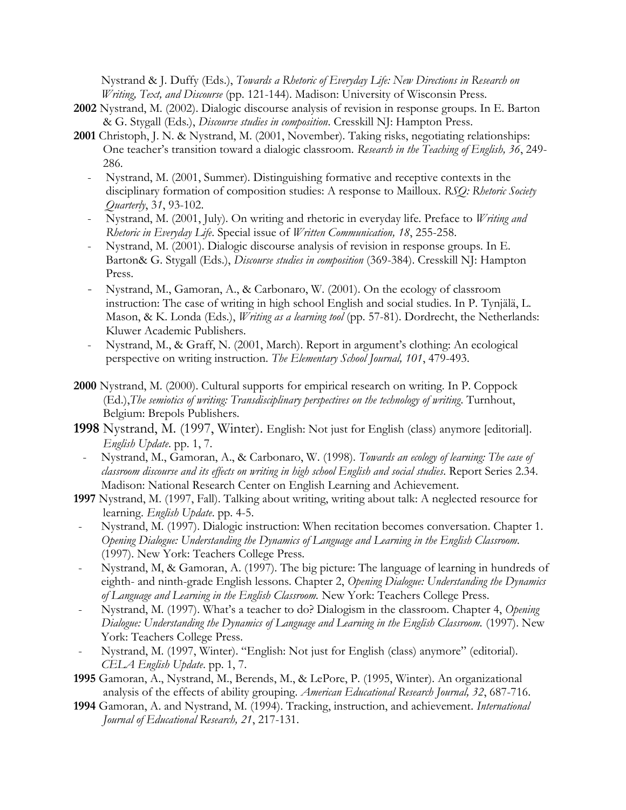Nystrand & J. Duffy (Eds.), *Towards a Rhetoric of Everyday Life: New Directions in Research on Writing, Text, and Discourse* (pp. 121-144). Madison: University of Wisconsin Press.

- **2002** Nystrand, M. (2002). Dialogic discourse analysis of revision in response groups. In E. Barton & G. Stygall (Eds.), *Discourse studies in composition*. Cresskill NJ: Hampton Press.
- **2001** Christoph, J. N. & Nystrand, M. (2001, November). Taking risks, negotiating relationships: One teacher's transition toward a dialogic classroom. *Research in the Teaching of English, 36*, 249- 286.
	- Nystrand, M. (2001, Summer). Distinguishing formative and receptive contexts in the disciplinary formation of composition studies: A response to Mailloux. *RSQ: Rhetoric Society Quarterly*, 3*1*, 93-102.
	- Nystrand, M. (2001, July). On writing and rhetoric in everyday life. Preface to *Writing and Rhetoric in Everyday Life*. Special issue of *Written Communication, 18*, 255-258.
	- Nystrand, M. (2001). Dialogic discourse analysis of revision in response groups. In E. Barton& G. Stygall (Eds.), *Discourse studies in composition* (369-384). Cresskill NJ: Hampton Press.
	- Nystrand, M., Gamoran, A., & Carbonaro, W. (2001). On the ecology of classroom instruction: The case of writing in high school English and social studies. In P. Tynjälä, L. Mason, & K. Londa (Eds.), *Writing as a learning tool* (pp. 57-81). Dordrecht, the Netherlands: Kluwer Academic Publishers.
	- Nystrand, M., & Graff, N. (2001, March). Report in argument's clothing: An ecological perspective on writing instruction. *The Elementary School Journal, 101*, 479-493.
- **2000** Nystrand, M. (2000). Cultural supports for empirical research on writing. In P. Coppock (Ed.),*The semiotics of writing: Transdisciplinary perspectives on the technology of writing*. Turnhout, Belgium: Brepols Publishers.
- **1998** Nystrand, M. (1997, Winter). English: Not just for English (class) anymore [editorial]. *English Update*. pp. 1, 7.
	- Nystrand, M., Gamoran, A., & Carbonaro, W. (1998). *Towards an ecology of learning: The case of classroom discourse and its effects on writing in high school English and social studies*. Report Series 2.34. Madison: National Research Center on English Learning and Achievement.
- **1997** Nystrand, M. (1997, Fall). Talking about writing, writing about talk: A neglected resource for learning. *English Update*. pp. 4-5.
- Nystrand, M. (1997). Dialogic instruction: When recitation becomes conversation. Chapter 1. *Opening Dialogue: Understanding the Dynamics of Language and Learning in the English Classroom.* (1997). New York: Teachers College Press.
- Nystrand, M, & Gamoran, A. (1997). The big picture: The language of learning in hundreds of eighth- and ninth-grade English lessons. Chapter 2, *Opening Dialogue: Understanding the Dynamics of Language and Learning in the English Classroom.* New York: Teachers College Press.
- Nystrand, M. (1997). What's a teacher to do? Dialogism in the classroom. Chapter 4, *Opening Dialogue: Understanding the Dynamics of Language and Learning in the English Classroom.* (1997). New York: Teachers College Press.
- Nystrand, M. (1997, Winter). "English: Not just for English (class) anymore" (editorial). *CELA English Update*. pp. 1, 7.
- **1995** Gamoran, A., Nystrand, M., Berends, M., & LePore, P. (1995, Winter). An organizational analysis of the effects of ability grouping. *American Educational Research Journal, 32*, 687-716.
- **1994** Gamoran, A. and Nystrand, M. (1994). Tracking, instruction, and achievement. *International Journal of Educational Research, 21*, 217-131.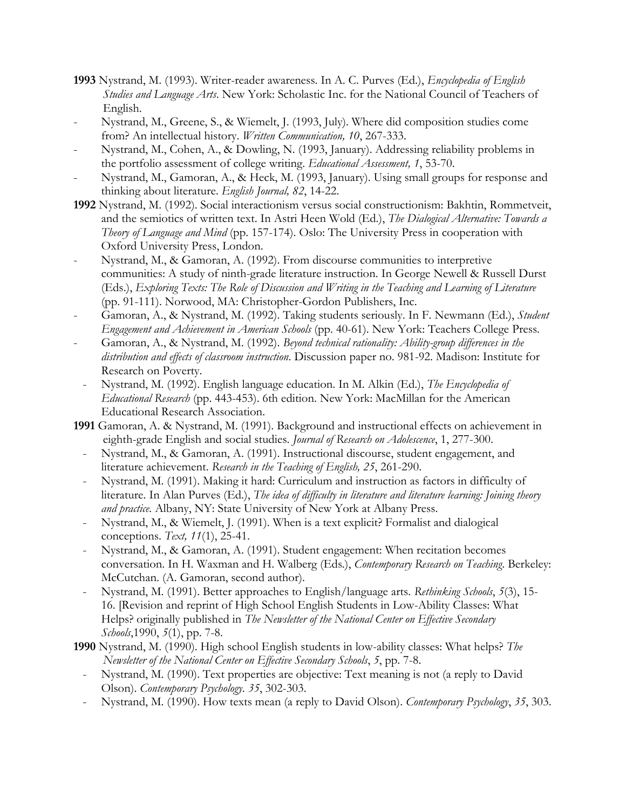- **1993** Nystrand, M. (1993). Writer-reader awareness. In A. C. Purves (Ed.), *Encyclopedia of English Studies and Language Arts*. New York: Scholastic Inc. for the National Council of Teachers of English.
- Nystrand, M., Greene, S., & Wiemelt, J. (1993, July). Where did composition studies come from? An intellectual history. *Written Communication, 10*, 267-333.
- Nystrand, M., Cohen, A., & Dowling, N. (1993, January). Addressing reliability problems in the portfolio assessment of college writing. *Educational Assessment, 1*, 53-70.
- Nystrand, M., Gamoran, A., & Heck, M. (1993, January). Using small groups for response and thinking about literature. *English Journal, 82*, 14-22.
- **1992** Nystrand, M. (1992). Social interactionism versus social constructionism: Bakhtin, Rommetveit, and the semiotics of written text. In Astri Heen Wold (Ed.), *The Dialogical Alternative: Towards a Theory of Language and Mind* (pp. 157-174). Oslo: The University Press in cooperation with Oxford University Press, London.
- Nystrand, M., & Gamoran, A. (1992). From discourse communities to interpretive communities: A study of ninth-grade literature instruction. In George Newell & Russell Durst (Eds.), *Exploring Texts: The Role of Discussion and Writing in the Teaching and Learning of Literature*  (pp. 91-111). Norwood, MA: Christopher-Gordon Publishers, Inc.
- Gamoran, A., & Nystrand, M. (1992). Taking students seriously. In F. Newmann (Ed.), *Student Engagement and Achievement in American Schools* (pp. 40-61). New York: Teachers College Press.
- Gamoran, A., & Nystrand, M. (1992). *Beyond technical rationality: Ability-group differences in the distribution and effects of classroom instruction*. Discussion paper no. 981-92. Madison: Institute for Research on Poverty.
- Nystrand, M. (1992). English language education. In M. Alkin (Ed.), *The Encyclopedia of Educational Research* (pp. 443-453). 6th edition. New York: MacMillan for the American Educational Research Association.
- **1991** Gamoran, A. & Nystrand, M. (1991). Background and instructional effects on achievement in eighth-grade English and social studies. *Journal of Research on Adolescence*, 1, 277-300.
	- Nystrand, M., & Gamoran, A. (1991). Instructional discourse, student engagement, and literature achievement. *Research in the Teaching of English, 25*, 261-290.
	- Nystrand, M. (1991). Making it hard: Curriculum and instruction as factors in difficulty of literature. In Alan Purves (Ed.), *The idea of difficulty in literature and literature learning: Joining theory and practice.* Albany, NY: State University of New York at Albany Press.
	- Nystrand, M., & Wiemelt, J. (1991). When is a text explicit? Formalist and dialogical conceptions. *Text, 11*(1), 25-41.
	- Nystrand, M., & Gamoran, A. (1991). Student engagement: When recitation becomes conversation. In H. Waxman and H. Walberg (Eds.), *Contemporary Research on Teaching*. Berkeley: McCutchan. (A. Gamoran, second author).
	- Nystrand, M. (1991). Better approaches to English/language arts. *Rethinking Schools*, *5*(3), 15- 16. [Revision and reprint of High School English Students in Low-Ability Classes: What Helps? originally published in *The Newsletter of the National Center on Effective Secondary Schools*,1990, *5*(1), pp. 7-8.
- **1990** Nystrand, M. (1990). High school English students in low-ability classes: What helps? *The Newsletter of the National Center on Effective Secondary Schools*, *5*, pp. 7-8.
	- Nystrand, M. (1990). Text properties are objective: Text meaning is not (a reply to David Olson). *Contemporary Psychology*. *35*, 302-303.
	- Nystrand, M. (1990). How texts mean (a reply to David Olson). *Contemporary Psychology*, *35*, 303.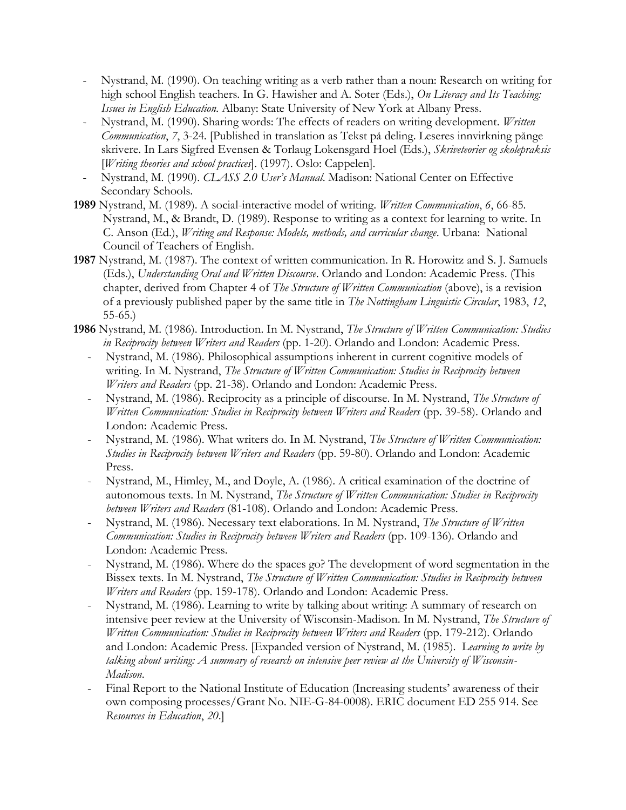- Nystrand, M. (1990). On teaching writing as a verb rather than a noun: Research on writing for high school English teachers. In G. Hawisher and A. Soter (Eds.), *On Literacy and Its Teaching: Issues in English Education.* Albany: State University of New York at Albany Press.
- Nystrand, M. (1990). Sharing words: The effects of readers on writing development. *Written Communication*, *7*, 3-24. [Published in translation as Tekst på deling. Leseres innvirkning pånge skrivere. In Lars Sigfred Evensen & Torlaug Lokensgard Hoel (Eds.), *Skriveteorier og skolepraksis* [*Writing theories and school practices*]. (1997). Oslo: Cappelen].
- Nystrand, M. (1990). *CLASS 2.0 User's Manual*. Madison: National Center on Effective Secondary Schools.
- **1989** Nystrand, M. (1989). A social-interactive model of writing. *Written Communication*, *6*, 66-85. Nystrand, M., & Brandt, D. (1989). Response to writing as a context for learning to write. In C. Anson (Ed.), *Writing and Response: Models, methods, and curricular change*. Urbana: National Council of Teachers of English.
- **1987** Nystrand, M. (1987). The context of written communication. In R. Horowitz and S. J. Samuels (Eds.), *Understanding Oral and Written Discourse*. Orlando and London: Academic Press. (This chapter, derived from Chapter 4 of *The Structure of Written Communication* (above), is a revision of a previously published paper by the same title in *The Nottingham Linguistic Circular*, 1983, *12*, 55-65.)
- **1986** Nystrand, M. (1986). Introduction. In M. Nystrand, *The Structure of Written Communication: Studies in Reciprocity between Writers and Readers* (pp. 1-20). Orlando and London: Academic Press.
	- Nystrand, M. (1986). Philosophical assumptions inherent in current cognitive models of writing. In M. Nystrand, *The Structure of Written Communication: Studies in Reciprocity between Writers and Readers* (pp. 21-38). Orlando and London: Academic Press.
	- Nystrand, M. (1986). Reciprocity as a principle of discourse. In M. Nystrand, *The Structure of Written Communication: Studies in Reciprocity between Writers and Readers (pp. 39-58). Orlando and* London: Academic Press.
	- Nystrand, M. (1986). What writers do. In M. Nystrand, *The Structure of Written Communication: Studies in Reciprocity between Writers and Readers* (pp. 59-80). Orlando and London: Academic Press.
	- Nystrand, M., Himley, M., and Doyle, A. (1986). A critical examination of the doctrine of autonomous texts. In M. Nystrand, *The Structure of Written Communication: Studies in Reciprocity between Writers and Readers* (81-108). Orlando and London: Academic Press.
	- Nystrand, M. (1986). Necessary text elaborations. In M. Nystrand, *The Structure of Written Communication: Studies in Reciprocity between Writers and Readers (pp. 109-136). Orlando and* London: Academic Press.
	- Nystrand, M. (1986). Where do the spaces go? The development of word segmentation in the Bissex texts. In M. Nystrand, *The Structure of Written Communication: Studies in Reciprocity between Writers and Readers* (pp. 159-178). Orlando and London: Academic Press.
	- Nystrand, M. (1986). Learning to write by talking about writing: A summary of research on intensive peer review at the University of Wisconsin-Madison. In M. Nystrand, *The Structure of Written Communication: Studies in Reciprocity between Writers and Readers (pp. 179-212). Orlando* and London: Academic Press. [Expanded version of Nystrand, M. (1985). L*earning to write by talking about writing: A summary of research on intensive peer review at the University of Wisconsin-Madison*.
	- Final Report to the National Institute of Education (Increasing students' awareness of their own composing processes/Grant No. NIE-G-84-0008). ERIC document ED 255 914. See *Resources in Education*, *20*.]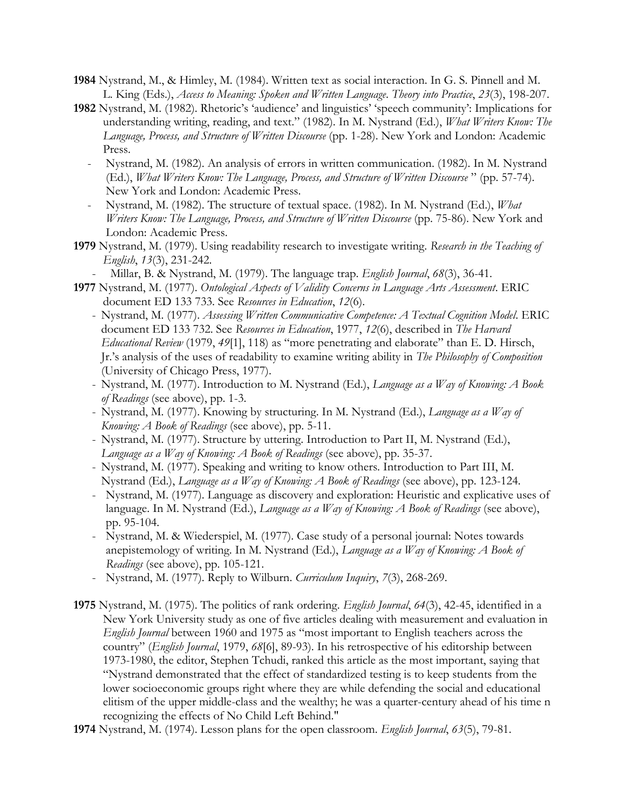- **1984** Nystrand, M., & Himley, M. (1984). Written text as social interaction. In G. S. Pinnell and M. L. King (Eds.), *Access to Meaning: Spoken and Written Language*. *Theory into Practice*, *23*(3), 198-207.
- **1982** Nystrand, M. (1982). Rhetoric's 'audience' and linguistics' 'speech community': Implications for understanding writing, reading, and text." (1982). In M. Nystrand (Ed.), *What Writers Know: The*  Language, Process, and Structure of Written Discourse (pp. 1-28). New York and London: Academic Press.
	- Nystrand, M. (1982). An analysis of errors in written communication. (1982). In M. Nystrand (Ed.), *What Writers Know: The Language, Process, and Structure of Written Discourse* " (pp. 57-74). New York and London: Academic Press.
	- Nystrand, M. (1982). The structure of textual space. (1982). In M. Nystrand (Ed.), *What Writers Know: The Language, Process, and Structure of Written Discourse* (pp. 75-86). New York and London: Academic Press.
- **1979** Nystrand, M. (1979). Using readability research to investigate writing. *Research in the Teaching of English*, *13*(3), 231-242.
	- Millar, B. & Nystrand, M. (1979). The language trap. *English Journal*, *68*(3), 36-41.
- **1977** Nystrand, M. (1977). *Ontological Aspects of Validity Concerns in Language Arts Assessment*. ERIC document ED 133 733. See *Resources in Education*, *12*(6).
	- Nystrand, M. (1977). *Assessing Written Communicative Competence: A Textual Cognition Model*. ERIC document ED 133 732. See *Resources in Education*, 1977, *12*(6), described in *The Harvard Educational Review* (1979, *49*[1], 118) as "more penetrating and elaborate" than E. D. Hirsch, Jr.'s analysis of the uses of readability to examine writing ability in *The Philosophy of Composition* (University of Chicago Press, 1977).
	- Nystrand, M. (1977). Introduction to M. Nystrand (Ed.), *Language as a Way of Knowing: A Book of Readings* (see above), pp. 1-3.
	- Nystrand, M. (1977). Knowing by structuring. In M. Nystrand (Ed.), *Language as a Way of Knowing: A Book of Readings* (see above), pp. 5-11.
	- Nystrand, M. (1977). Structure by uttering. Introduction to Part II, M. Nystrand (Ed.), *Language as a Way of Knowing: A Book of Readings* (see above), pp. 35-37.
	- Nystrand, M. (1977). Speaking and writing to know others. Introduction to Part III, M. Nystrand (Ed.), *Language as a Way of Knowing: A Book of Readings* (see above), pp. 123-124.
	- Nystrand, M. (1977). Language as discovery and exploration: Heuristic and explicative uses of language. In M. Nystrand (Ed.), *Language as a Way of Knowing: A Book of Readings* (see above), pp. 95-104.
	- Nystrand, M. & Wiederspiel, M. (1977). Case study of a personal journal: Notes towards anepistemology of writing. In M. Nystrand (Ed.), *Language as a Way of Knowing: A Book of Readings* (see above), pp. 105-121.
	- Nystrand, M. (1977). Reply to Wilburn. *Curriculum Inquiry*, *7*(3), 268-269.
- **1975** Nystrand, M. (1975). The politics of rank ordering. *English Journal*, *64*(3), 42-45, identified in a New York University study as one of five articles dealing with measurement and evaluation in *English Journal* between 1960 and 1975 as "most important to English teachers across the country" (*English Journal*, 1979, *68*[6], 89-93). In his retrospective of his editorship between 1973-1980, the editor, Stephen Tchudi, ranked this article as the most important, saying that "Nystrand demonstrated that the effect of standardized testing is to keep students from the lower socioeconomic groups right where they are while defending the social and educational elitism of the upper middle-class and the wealthy; he was a quarter-century ahead of his time n recognizing the effects of No Child Left Behind."
- **1974** Nystrand, M. (1974). Lesson plans for the open classroom. *English Journal*, *63*(5), 79-81.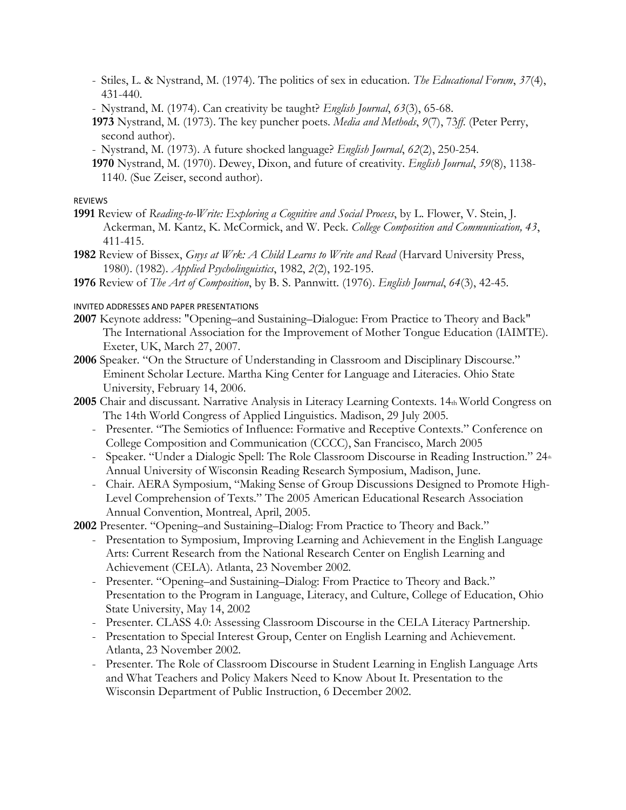- Stiles, L. & Nystrand, M. (1974). The politics of sex in education. *The Educational Forum*, *37*(4), 431-440.
- Nystrand, M. (1974). Can creativity be taught? *English Journal*, *63*(3), 65-68.
- **1973** Nystrand, M. (1973). The key puncher poets. *Media and Methods*, *9*(7), 73*ff*. (Peter Perry, second author).
- Nystrand, M. (1973). A future shocked language? *English Journal*, *62*(2), 250-254.
- **1970** Nystrand, M. (1970). Dewey, Dixon, and future of creativity. *English Journal*, *59*(8), 1138- 1140. (Sue Zeiser, second author).

#### REVIEWS

- **1991** Review of *Reading-to-Write: Exploring a Cognitive and Social Process*, by L. Flower, V. Stein, J. Ackerman, M. Kantz, K. McCormick, and W. Peck. *College Composition and Communication, 43*, 411-415.
- **1982** Review of Bissex, *Gnys at Wrk: A Child Learns to Write and Read* (Harvard University Press, 1980). (1982). *Applied Psycholinguistics*, 1982, *2*(2), 192-195.
- **1976** Review of *The Art of Composition*, by B. S. Pannwitt. (1976). *English Journal*, *64*(3), 42-45.

### INVITED ADDRESSES AND PAPER PRESENTATIONS

- **2007** Keynote address: "Opening–and Sustaining–Dialogue: From Practice to Theory and Back" The International Association for the Improvement of Mother Tongue Education (IAIMTE). Exeter, UK, March 27, 2007.
- **2006** Speaker. "On the Structure of Understanding in Classroom and Disciplinary Discourse." Eminent Scholar Lecture. Martha King Center for Language and Literacies. Ohio State University, February 14, 2006.
- **2005** Chair and discussant. Narrative Analysis in Literacy Learning Contexts. 14th World Congress on The 14th World Congress of Applied Linguistics. Madison, 29 July 2005.
	- Presenter. "The Semiotics of Influence: Formative and Receptive Contexts." Conference on College Composition and Communication (CCCC), San Francisco, March 2005
	- Speaker. "Under a Dialogic Spell: The Role Classroom Discourse in Reading Instruction."  $24<sub>th</sub>$ Annual University of Wisconsin Reading Research Symposium, Madison, June.
	- Chair. AERA Symposium, "Making Sense of Group Discussions Designed to Promote High-Level Comprehension of Texts." The 2005 American Educational Research Association Annual Convention, Montreal, April, 2005.

**2002** Presenter. "Opening–and Sustaining–Dialog: From Practice to Theory and Back."

- Presentation to Symposium, Improving Learning and Achievement in the English Language Arts: Current Research from the National Research Center on English Learning and Achievement (CELA). Atlanta, 23 November 2002.
- Presenter. "Opening–and Sustaining–Dialog: From Practice to Theory and Back." Presentation to the Program in Language, Literacy, and Culture, College of Education, Ohio State University, May 14, 2002
- Presenter. CLASS 4.0: Assessing Classroom Discourse in the CELA Literacy Partnership.
- Presentation to Special Interest Group, Center on English Learning and Achievement. Atlanta, 23 November 2002.
- Presenter. The Role of Classroom Discourse in Student Learning in English Language Arts and What Teachers and Policy Makers Need to Know About It. Presentation to the Wisconsin Department of Public Instruction, 6 December 2002.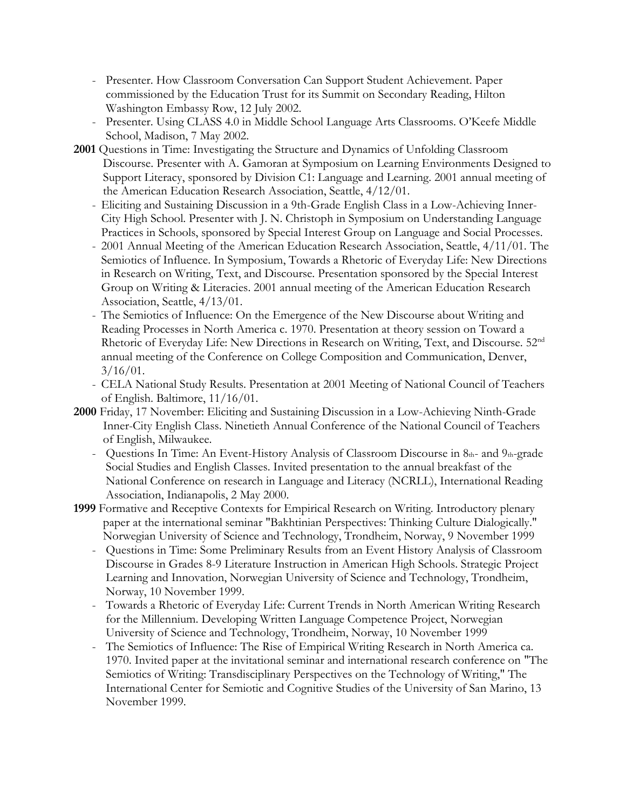- Presenter. How Classroom Conversation Can Support Student Achievement. Paper commissioned by the Education Trust for its Summit on Secondary Reading, Hilton Washington Embassy Row, 12 July 2002.
- Presenter. Using CLASS 4.0 in Middle School Language Arts Classrooms. O'Keefe Middle School, Madison, 7 May 2002.
- **2001** Questions in Time: Investigating the Structure and Dynamics of Unfolding Classroom Discourse. Presenter with A. Gamoran at Symposium on Learning Environments Designed to Support Literacy, sponsored by Division C1: Language and Learning. 2001 annual meeting of the American Education Research Association, Seattle, 4/12/01.
	- Eliciting and Sustaining Discussion in a 9th-Grade English Class in a Low-Achieving Inner-City High School. Presenter with J. N. Christoph in Symposium on Understanding Language Practices in Schools, sponsored by Special Interest Group on Language and Social Processes.
	- 2001 Annual Meeting of the American Education Research Association, Seattle, 4/11/01. The Semiotics of Influence. In Symposium, Towards a Rhetoric of Everyday Life: New Directions in Research on Writing, Text, and Discourse. Presentation sponsored by the Special Interest Group on Writing & Literacies. 2001 annual meeting of the American Education Research Association, Seattle, 4/13/01.
	- The Semiotics of Influence: On the Emergence of the New Discourse about Writing and Reading Processes in North America c. 1970. Presentation at theory session on Toward a Rhetoric of Everyday Life: New Directions in Research on Writing, Text, and Discourse. 52nd annual meeting of the Conference on College Composition and Communication, Denver,  $3/16/01$ .
	- CELA National Study Results. Presentation at 2001 Meeting of National Council of Teachers of English. Baltimore, 11/16/01.
- **2000** Friday, 17 November: Eliciting and Sustaining Discussion in a Low-Achieving Ninth-Grade Inner-City English Class. Ninetieth Annual Conference of the National Council of Teachers of English, Milwaukee.
	- Questions In Time: An Event-History Analysis of Classroom Discourse in  $8<sub>th</sub>$  and  $9<sub>th</sub>$ -grade Social Studies and English Classes. Invited presentation to the annual breakfast of the National Conference on research in Language and Literacy (NCRLL), International Reading Association, Indianapolis, 2 May 2000.
- **1999** Formative and Receptive Contexts for Empirical Research on Writing. Introductory plenary paper at the international seminar "Bakhtinian Perspectives: Thinking Culture Dialogically." Norwegian University of Science and Technology, Trondheim, Norway, 9 November 1999
	- Questions in Time: Some Preliminary Results from an Event History Analysis of Classroom Discourse in Grades 8-9 Literature Instruction in American High Schools. Strategic Project Learning and Innovation, Norwegian University of Science and Technology, Trondheim, Norway, 10 November 1999.
	- Towards a Rhetoric of Everyday Life: Current Trends in North American Writing Research for the Millennium. Developing Written Language Competence Project, Norwegian University of Science and Technology, Trondheim, Norway, 10 November 1999
	- The Semiotics of Influence: The Rise of Empirical Writing Research in North America ca. 1970. Invited paper at the invitational seminar and international research conference on "The Semiotics of Writing: Transdisciplinary Perspectives on the Technology of Writing," The International Center for Semiotic and Cognitive Studies of the University of San Marino, 13 November 1999.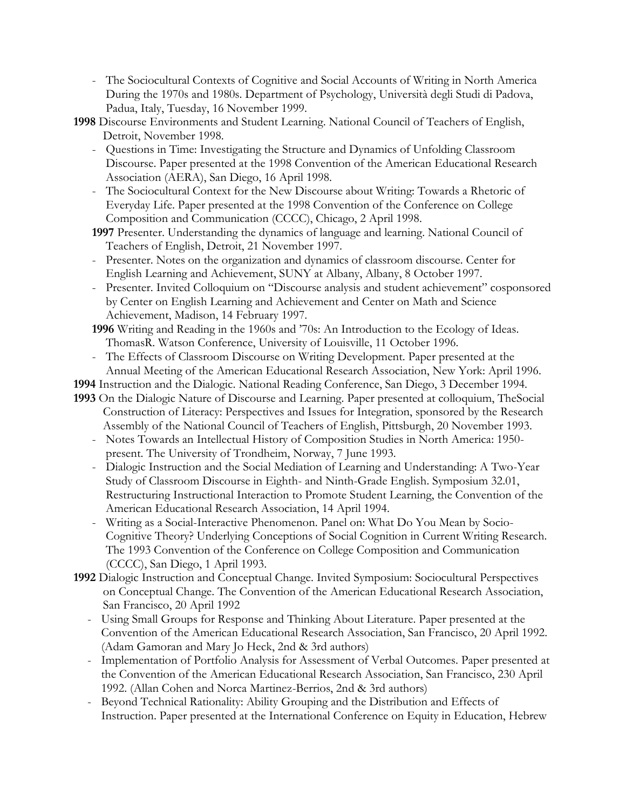- The Sociocultural Contexts of Cognitive and Social Accounts of Writing in North America During the 1970s and 1980s. Department of Psychology, Università degli Studi di Padova, Padua, Italy, Tuesday, 16 November 1999.
- **1998** Discourse Environments and Student Learning. National Council of Teachers of English, Detroit, November 1998.
	- Questions in Time: Investigating the Structure and Dynamics of Unfolding Classroom Discourse. Paper presented at the 1998 Convention of the American Educational Research Association (AERA), San Diego, 16 April 1998.
	- The Sociocultural Context for the New Discourse about Writing: Towards a Rhetoric of Everyday Life. Paper presented at the 1998 Convention of the Conference on College Composition and Communication (CCCC), Chicago, 2 April 1998.
	- **1997** Presenter. Understanding the dynamics of language and learning. National Council of Teachers of English, Detroit, 21 November 1997.
	- Presenter. Notes on the organization and dynamics of classroom discourse. Center for English Learning and Achievement, SUNY at Albany, Albany, 8 October 1997.
	- Presenter. Invited Colloquium on "Discourse analysis and student achievement" cosponsored by Center on English Learning and Achievement and Center on Math and Science Achievement, Madison, 14 February 1997.
	- **1996** Writing and Reading in the 1960s and '70s: An Introduction to the Ecology of Ideas. ThomasR. Watson Conference, University of Louisville, 11 October 1996.
	- The Effects of Classroom Discourse on Writing Development. Paper presented at the Annual Meeting of the American Educational Research Association, New York: April 1996.

**1994** Instruction and the Dialogic. National Reading Conference, San Diego, 3 December 1994. **1993** On the Dialogic Nature of Discourse and Learning. Paper presented at colloquium, TheSocial

- Construction of Literacy: Perspectives and Issues for Integration, sponsored by the Research Assembly of the National Council of Teachers of English, Pittsburgh, 20 November 1993.
- Notes Towards an Intellectual History of Composition Studies in North America: 1950 present. The University of Trondheim, Norway, 7 June 1993.
- Dialogic Instruction and the Social Mediation of Learning and Understanding: A Two-Year Study of Classroom Discourse in Eighth- and Ninth-Grade English. Symposium 32.01, Restructuring Instructional Interaction to Promote Student Learning, the Convention of the American Educational Research Association, 14 April 1994.
- Writing as a Social-Interactive Phenomenon. Panel on: What Do You Mean by Socio-Cognitive Theory? Underlying Conceptions of Social Cognition in Current Writing Research. The 1993 Convention of the Conference on College Composition and Communication (CCCC), San Diego, 1 April 1993.
- **1992** Dialogic Instruction and Conceptual Change. Invited Symposium: Sociocultural Perspectives on Conceptual Change. The Convention of the American Educational Research Association, San Francisco, 20 April 1992
	- Using Small Groups for Response and Thinking About Literature. Paper presented at the Convention of the American Educational Research Association, San Francisco, 20 April 1992. (Adam Gamoran and Mary Jo Heck, 2nd & 3rd authors)
	- Implementation of Portfolio Analysis for Assessment of Verbal Outcomes. Paper presented at the Convention of the American Educational Research Association, San Francisco, 230 April 1992. (Allan Cohen and Norca Martinez-Berrios, 2nd & 3rd authors)
	- Beyond Technical Rationality: Ability Grouping and the Distribution and Effects of Instruction. Paper presented at the International Conference on Equity in Education, Hebrew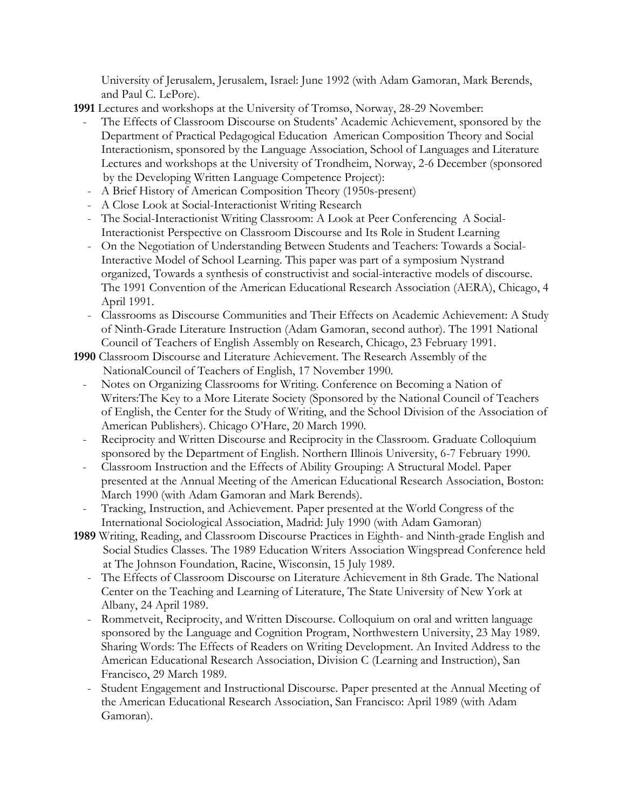University of Jerusalem, Jerusalem, Israel: June 1992 (with Adam Gamoran, Mark Berends, and Paul C. LePore).

**1991** Lectures and workshops at the University of Tromsø, Norway, 28-29 November:

- The Effects of Classroom Discourse on Students' Academic Achievement, sponsored by the Department of Practical Pedagogical Education American Composition Theory and Social Interactionism, sponsored by the Language Association, School of Languages and Literature Lectures and workshops at the University of Trondheim, Norway, 2-6 December (sponsored by the Developing Written Language Competence Project):
- A Brief History of American Composition Theory (1950s-present)
- A Close Look at Social-Interactionist Writing Research
- The Social-Interactionist Writing Classroom: A Look at Peer Conferencing A Social-Interactionist Perspective on Classroom Discourse and Its Role in Student Learning
- On the Negotiation of Understanding Between Students and Teachers: Towards a Social-Interactive Model of School Learning. This paper was part of a symposium Nystrand organized, Towards a synthesis of constructivist and social-interactive models of discourse. The 1991 Convention of the American Educational Research Association (AERA), Chicago, 4 April 1991.
- Classrooms as Discourse Communities and Their Effects on Academic Achievement: A Study of Ninth-Grade Literature Instruction (Adam Gamoran, second author). The 1991 National Council of Teachers of English Assembly on Research, Chicago, 23 February 1991.
- **1990** Classroom Discourse and Literature Achievement. The Research Assembly of the NationalCouncil of Teachers of English, 17 November 1990.
	- Notes on Organizing Classrooms for Writing. Conference on Becoming a Nation of Writers:The Key to a More Literate Society (Sponsored by the National Council of Teachers of English, the Center for the Study of Writing, and the School Division of the Association of American Publishers). Chicago O'Hare, 20 March 1990.
	- Reciprocity and Written Discourse and Reciprocity in the Classroom. Graduate Colloquium sponsored by the Department of English. Northern Illinois University, 6-7 February 1990.
	- Classroom Instruction and the Effects of Ability Grouping: A Structural Model. Paper presented at the Annual Meeting of the American Educational Research Association, Boston: March 1990 (with Adam Gamoran and Mark Berends).
	- Tracking, Instruction, and Achievement. Paper presented at the World Congress of the International Sociological Association, Madrid: July 1990 (with Adam Gamoran)
- **1989** Writing, Reading, and Classroom Discourse Practices in Eighth- and Ninth-grade English and Social Studies Classes. The 1989 Education Writers Association Wingspread Conference held at The Johnson Foundation, Racine, Wisconsin, 15 July 1989.
	- The Effects of Classroom Discourse on Literature Achievement in 8th Grade. The National Center on the Teaching and Learning of Literature, The State University of New York at Albany, 24 April 1989.
	- Rommetveit, Reciprocity, and Written Discourse. Colloquium on oral and written language sponsored by the Language and Cognition Program, Northwestern University, 23 May 1989. Sharing Words: The Effects of Readers on Writing Development. An Invited Address to the American Educational Research Association, Division C (Learning and Instruction), San Francisco, 29 March 1989.
	- Student Engagement and Instructional Discourse. Paper presented at the Annual Meeting of the American Educational Research Association, San Francisco: April 1989 (with Adam Gamoran).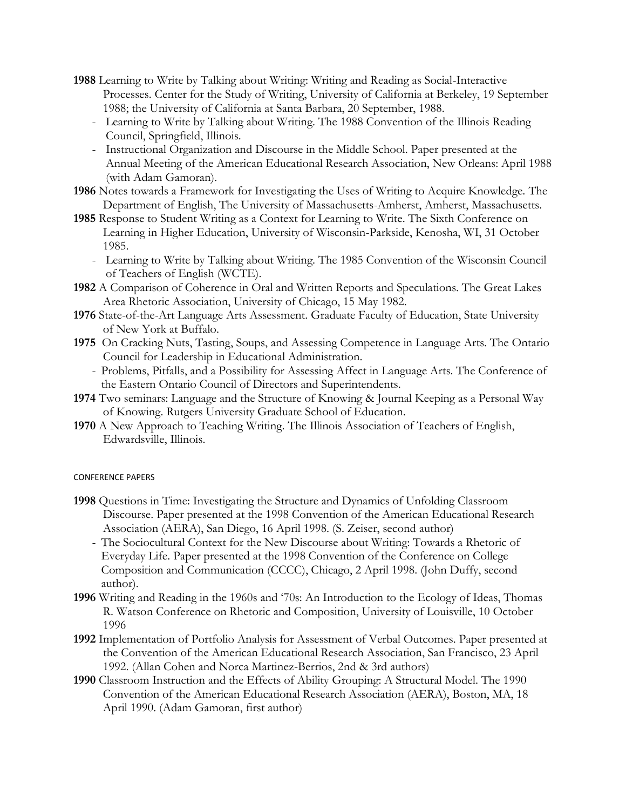- **1988** Learning to Write by Talking about Writing: Writing and Reading as Social-Interactive Processes. Center for the Study of Writing, University of California at Berkeley, 19 September 1988; the University of California at Santa Barbara, 20 September, 1988.
	- Learning to Write by Talking about Writing. The 1988 Convention of the Illinois Reading Council, Springfield, Illinois.
	- Instructional Organization and Discourse in the Middle School. Paper presented at the Annual Meeting of the American Educational Research Association, New Orleans: April 1988 (with Adam Gamoran).
- **1986** Notes towards a Framework for Investigating the Uses of Writing to Acquire Knowledge. The Department of English, The University of Massachusetts-Amherst, Amherst, Massachusetts.
- **1985** Response to Student Writing as a Context for Learning to Write. The Sixth Conference on Learning in Higher Education, University of Wisconsin-Parkside, Kenosha, WI, 31 October 1985.
	- Learning to Write by Talking about Writing. The 1985 Convention of the Wisconsin Council of Teachers of English (WCTE).
- **1982** A Comparison of Coherence in Oral and Written Reports and Speculations. The Great Lakes Area Rhetoric Association, University of Chicago, 15 May 1982.
- **1976** State-of-the-Art Language Arts Assessment. Graduate Faculty of Education, State University of New York at Buffalo.
- **1975** On Cracking Nuts, Tasting, Soups, and Assessing Competence in Language Arts. The Ontario Council for Leadership in Educational Administration.
	- Problems, Pitfalls, and a Possibility for Assessing Affect in Language Arts. The Conference of the Eastern Ontario Council of Directors and Superintendents.
- **1974** Two seminars: Language and the Structure of Knowing & Journal Keeping as a Personal Way of Knowing. Rutgers University Graduate School of Education.
- **1970** A New Approach to Teaching Writing. The Illinois Association of Teachers of English, Edwardsville, Illinois.

#### CONFERENCE PAPERS

- **1998** Questions in Time: Investigating the Structure and Dynamics of Unfolding Classroom Discourse. Paper presented at the 1998 Convention of the American Educational Research Association (AERA), San Diego, 16 April 1998. (S. Zeiser, second author)
	- The Sociocultural Context for the New Discourse about Writing: Towards a Rhetoric of Everyday Life. Paper presented at the 1998 Convention of the Conference on College Composition and Communication (CCCC), Chicago, 2 April 1998. (John Duffy, second author).
- **1996** Writing and Reading in the 1960s and '70s: An Introduction to the Ecology of Ideas, Thomas R. Watson Conference on Rhetoric and Composition, University of Louisville, 10 October 1996
- **1992** Implementation of Portfolio Analysis for Assessment of Verbal Outcomes. Paper presented at the Convention of the American Educational Research Association, San Francisco, 23 April 1992. (Allan Cohen and Norca Martinez-Berrios, 2nd & 3rd authors)
- **1990** Classroom Instruction and the Effects of Ability Grouping: A Structural Model. The 1990 Convention of the American Educational Research Association (AERA), Boston, MA, 18 April 1990. (Adam Gamoran, first author)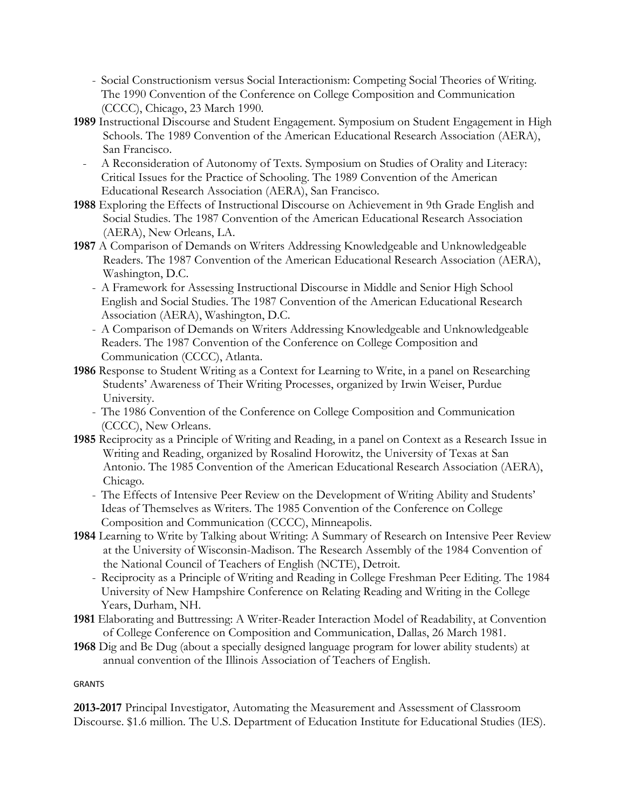- Social Constructionism versus Social Interactionism: Competing Social Theories of Writing. The 1990 Convention of the Conference on College Composition and Communication (CCCC), Chicago, 23 March 1990.
- **1989** Instructional Discourse and Student Engagement. Symposium on Student Engagement in High Schools. The 1989 Convention of the American Educational Research Association (AERA), San Francisco.
- A Reconsideration of Autonomy of Texts. Symposium on Studies of Orality and Literacy: Critical Issues for the Practice of Schooling. The 1989 Convention of the American Educational Research Association (AERA), San Francisco.
- **1988** Exploring the Effects of Instructional Discourse on Achievement in 9th Grade English and Social Studies. The 1987 Convention of the American Educational Research Association (AERA), New Orleans, LA.
- **1987** A Comparison of Demands on Writers Addressing Knowledgeable and Unknowledgeable Readers. The 1987 Convention of the American Educational Research Association (AERA), Washington, D.C.
	- A Framework for Assessing Instructional Discourse in Middle and Senior High School English and Social Studies. The 1987 Convention of the American Educational Research Association (AERA), Washington, D.C.
	- A Comparison of Demands on Writers Addressing Knowledgeable and Unknowledgeable Readers. The 1987 Convention of the Conference on College Composition and Communication (CCCC), Atlanta.
- **1986** Response to Student Writing as a Context for Learning to Write, in a panel on Researching Students' Awareness of Their Writing Processes, organized by Irwin Weiser, Purdue University.
	- The 1986 Convention of the Conference on College Composition and Communication (CCCC), New Orleans.
- **1985** Reciprocity as a Principle of Writing and Reading, in a panel on Context as a Research Issue in Writing and Reading, organized by Rosalind Horowitz, the University of Texas at San Antonio. The 1985 Convention of the American Educational Research Association (AERA), Chicago.
	- The Effects of Intensive Peer Review on the Development of Writing Ability and Students' Ideas of Themselves as Writers. The 1985 Convention of the Conference on College Composition and Communication (CCCC), Minneapolis.
- **1984** Learning to Write by Talking about Writing: A Summary of Research on Intensive Peer Review at the University of Wisconsin-Madison. The Research Assembly of the 1984 Convention of the National Council of Teachers of English (NCTE), Detroit.
	- Reciprocity as a Principle of Writing and Reading in College Freshman Peer Editing. The 1984 University of New Hampshire Conference on Relating Reading and Writing in the College Years, Durham, NH.
- **1981** Elaborating and Buttressing: A Writer-Reader Interaction Model of Readability, at Convention of College Conference on Composition and Communication, Dallas, 26 March 1981.
- **1968** Dig and Be Dug (about a specially designed language program for lower ability students) at annual convention of the Illinois Association of Teachers of English.

### GRANTS

**2013-2017** Principal Investigator, Automating the Measurement and Assessment of Classroom Discourse. \$1.6 million. The U.S. Department of Education Institute for Educational Studies (IES).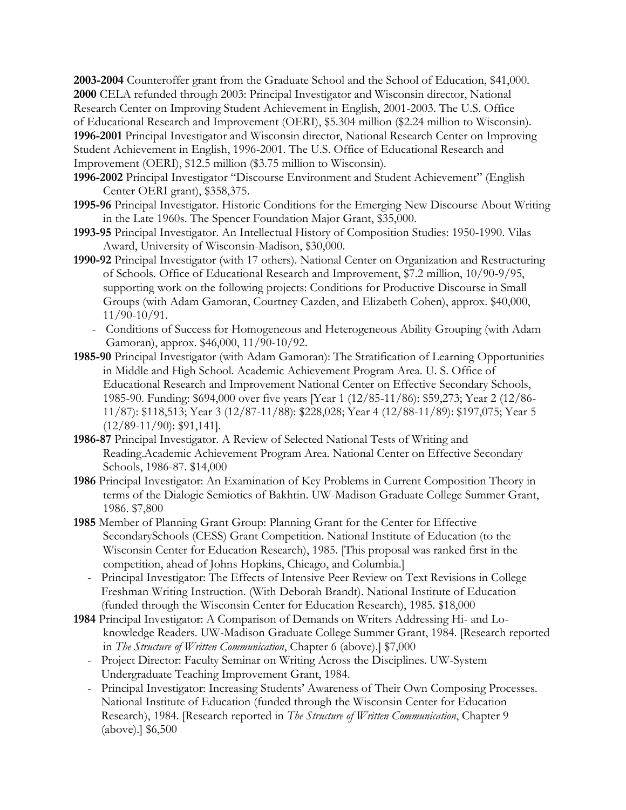**2003-2004** Counteroffer grant from the Graduate School and the School of Education, \$41,000. **2000** CELA refunded through 2003: Principal Investigator and Wisconsin director, National Research Center on Improving Student Achievement in English, 2001-2003. The U.S. Office of Educational Research and Improvement (OERI), \$5.304 million (\$2.24 million to Wisconsin). **1996-2001** Principal Investigator and Wisconsin director, National Research Center on Improving Student Achievement in English, 1996-2001. The U.S. Office of Educational Research and Improvement (OERI), \$12.5 million (\$3.75 million to Wisconsin).

- **1996-2002** Principal Investigator "Discourse Environment and Student Achievement" (English Center OERI grant), \$358,375.
- **1995-96** Principal Investigator. Historic Conditions for the Emerging New Discourse About Writing in the Late 1960s. The Spencer Foundation Major Grant, \$35,000.
- **1993-95** Principal Investigator. An Intellectual History of Composition Studies: 1950-1990. Vilas Award, University of Wisconsin-Madison, \$30,000.
- **1990-92** Principal Investigator (with 17 others). National Center on Organization and Restructuring of Schools. Office of Educational Research and Improvement, \$7.2 million, 10/90-9/95, supporting work on the following projects: Conditions for Productive Discourse in Small Groups (with Adam Gamoran, Courtney Cazden, and Elizabeth Cohen), approx. \$40,000, 11/90-10/91.
	- Conditions of Success for Homogeneous and Heterogeneous Ability Grouping (with Adam Gamoran), approx. \$46,000, 11/90-10/92.
- **1985-90** Principal Investigator (with Adam Gamoran): The Stratification of Learning Opportunities in Middle and High School. Academic Achievement Program Area. U. S. Office of Educational Research and Improvement National Center on Effective Secondary Schools, 1985-90. Funding: \$694,000 over five years [Year 1 (12/85-11/86): \$59,273; Year 2 (12/86- 11/87): \$118,513; Year 3 (12/87-11/88): \$228,028; Year 4 (12/88-11/89): \$197,075; Year 5 (12/89-11/90): \$91,141].
- **1986-87** Principal Investigator. A Review of Selected National Tests of Writing and Reading.Academic Achievement Program Area. National Center on Effective Secondary Schools, 1986-87. \$14,000
- **1986** Principal Investigator: An Examination of Key Problems in Current Composition Theory in terms of the Dialogic Semiotics of Bakhtin. UW-Madison Graduate College Summer Grant, 1986. \$7,800
- **1985** Member of Planning Grant Group: Planning Grant for the Center for Effective SecondarySchools (CESS) Grant Competition. National Institute of Education (to the Wisconsin Center for Education Research), 1985. [This proposal was ranked first in the competition, ahead of Johns Hopkins, Chicago, and Columbia.]
	- Principal Investigator: The Effects of Intensive Peer Review on Text Revisions in College Freshman Writing Instruction. (With Deborah Brandt). National Institute of Education (funded through the Wisconsin Center for Education Research), 1985. \$18,000
- **1984** Principal Investigator: A Comparison of Demands on Writers Addressing Hi- and Loknowledge Readers. UW-Madison Graduate College Summer Grant, 1984. [Research reported in *The Structure of Written Communication*, Chapter 6 (above).] \$7,000
	- Project Director: Faculty Seminar on Writing Across the Disciplines. UW-System Undergraduate Teaching Improvement Grant, 1984.
	- Principal Investigator: Increasing Students' Awareness of Their Own Composing Processes. National Institute of Education (funded through the Wisconsin Center for Education Research), 1984. [Research reported in *The Structure of Written Communication*, Chapter 9 (above).] \$6,500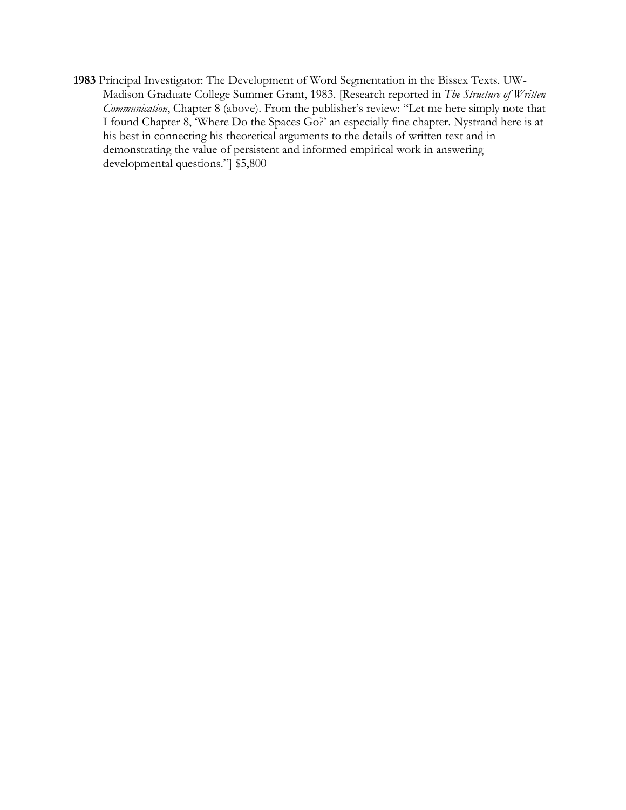**1983** Principal Investigator: The Development of Word Segmentation in the Bissex Texts. UW-Madison Graduate College Summer Grant, 1983. [Research reported in *The Structure of Written Communication*, Chapter 8 (above). From the publisher's review: "Let me here simply note that I found Chapter 8, 'Where Do the Spaces Go?' an especially fine chapter. Nystrand here is at his best in connecting his theoretical arguments to the details of written text and in demonstrating the value of persistent and informed empirical work in answering developmental questions."] \$5,800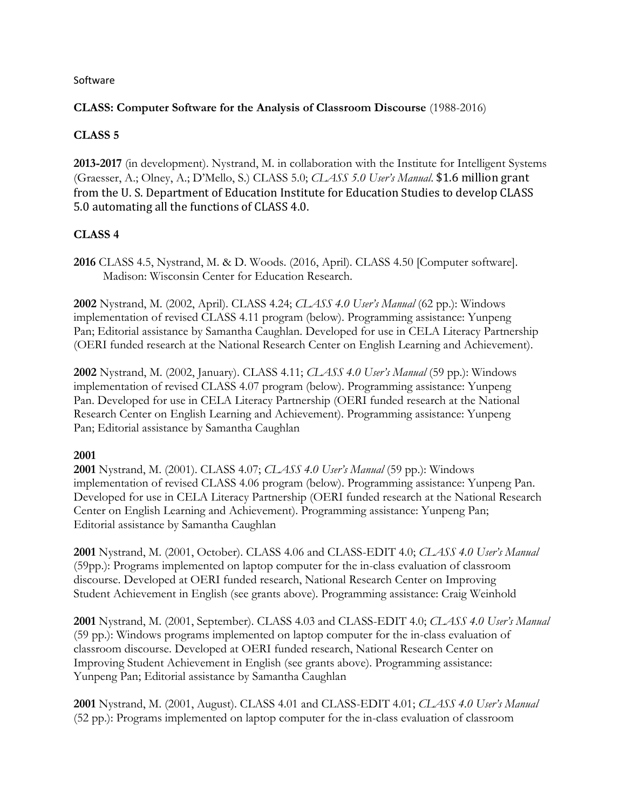### Software

### **CLASS: Computer Software for the Analysis of Classroom Discourse** (1988-2016)

## **CLASS 5**

**2013-2017** (in development). Nystrand, M. in collaboration with the Institute for Intelligent Systems (Graesser, A.; Olney, A.; D'Mello, S.) CLASS 5.0; *CLASS 5.0 User's Manual*. \$1.6 million grant from the U. S. Department of Education Institute for Education Studies to develop CLASS 5.0 automating all the functions of CLASS 4.0.

## **CLASS 4**

**2016** CLASS 4.5, Nystrand, M. & D. Woods. (2016, April). CLASS 4.50 [Computer software]. Madison: Wisconsin Center for Education Research.

**2002** Nystrand, M. (2002, April). CLASS 4.24; *CLASS 4.0 User's Manual* (62 pp.): Windows implementation of revised CLASS 4.11 program (below). Programming assistance: Yunpeng Pan; Editorial assistance by Samantha Caughlan. Developed for use in CELA Literacy Partnership (OERI funded research at the National Research Center on English Learning and Achievement).

**2002** Nystrand, M. (2002, January). CLASS 4.11; *CLASS 4.0 User's Manual* (59 pp.): Windows implementation of revised CLASS 4.07 program (below). Programming assistance: Yunpeng Pan. Developed for use in CELA Literacy Partnership (OERI funded research at the National Research Center on English Learning and Achievement). Programming assistance: Yunpeng Pan; Editorial assistance by Samantha Caughlan

## **2001**

**2001** Nystrand, M. (2001). CLASS 4.07; *CLASS 4.0 User's Manual* (59 pp.): Windows implementation of revised CLASS 4.06 program (below). Programming assistance: Yunpeng Pan. Developed for use in CELA Literacy Partnership (OERI funded research at the National Research Center on English Learning and Achievement). Programming assistance: Yunpeng Pan; Editorial assistance by Samantha Caughlan

**2001** Nystrand, M. (2001, October). CLASS 4.06 and CLASS-EDIT 4.0; *CLASS 4.0 User's Manual* (59pp.): Programs implemented on laptop computer for the in-class evaluation of classroom discourse. Developed at OERI funded research, National Research Center on Improving Student Achievement in English (see grants above). Programming assistance: Craig Weinhold

**2001** Nystrand, M. (2001, September). CLASS 4.03 and CLASS-EDIT 4.0; *CLASS 4.0 User's Manual* (59 pp.): Windows programs implemented on laptop computer for the in-class evaluation of classroom discourse. Developed at OERI funded research, National Research Center on Improving Student Achievement in English (see grants above). Programming assistance: Yunpeng Pan; Editorial assistance by Samantha Caughlan

**2001** Nystrand, M. (2001, August). CLASS 4.01 and CLASS-EDIT 4.01; *CLASS 4.0 User's Manual* (52 pp.): Programs implemented on laptop computer for the in-class evaluation of classroom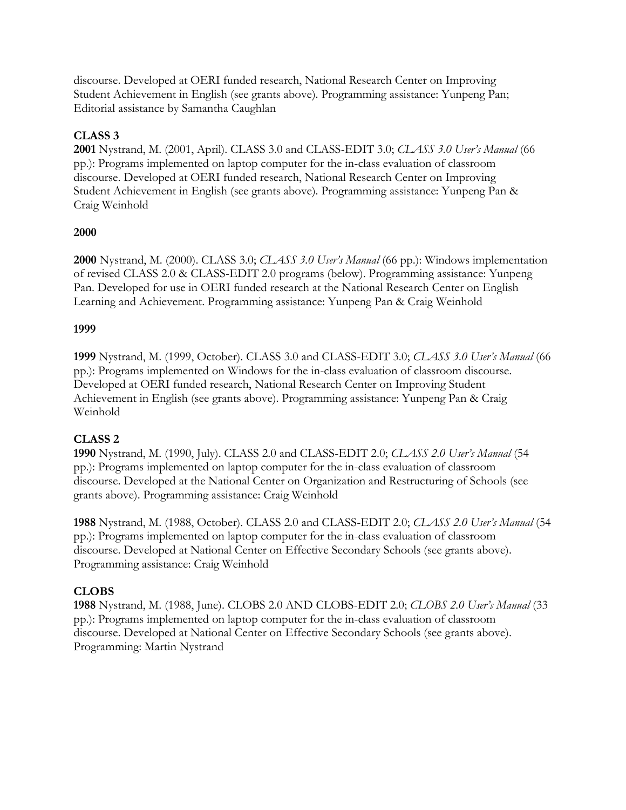discourse. Developed at OERI funded research, National Research Center on Improving Student Achievement in English (see grants above). Programming assistance: Yunpeng Pan; Editorial assistance by Samantha Caughlan

## **CLASS 3**

**2001** Nystrand, M. (2001, April). CLASS 3.0 and CLASS-EDIT 3.0; *CLASS 3.0 User's Manual* (66 pp.): Programs implemented on laptop computer for the in-class evaluation of classroom discourse. Developed at OERI funded research, National Research Center on Improving Student Achievement in English (see grants above). Programming assistance: Yunpeng Pan & Craig Weinhold

### **2000**

**2000** Nystrand, M. (2000). CLASS 3.0; *CLASS 3.0 User's Manual* (66 pp.): Windows implementation of revised CLASS 2.0 & CLASS-EDIT 2.0 programs (below). Programming assistance: Yunpeng Pan. Developed for use in OERI funded research at the National Research Center on English Learning and Achievement. Programming assistance: Yunpeng Pan & Craig Weinhold

### **1999**

**1999** Nystrand, M. (1999, October). CLASS 3.0 and CLASS-EDIT 3.0; *CLASS 3.0 User's Manual* (66 pp.): Programs implemented on Windows for the in-class evaluation of classroom discourse. Developed at OERI funded research, National Research Center on Improving Student Achievement in English (see grants above). Programming assistance: Yunpeng Pan & Craig Weinhold

## **CLASS 2**

**1990** Nystrand, M. (1990, July). CLASS 2.0 and CLASS-EDIT 2.0; *CLASS 2.0 User's Manual* (54 pp.): Programs implemented on laptop computer for the in-class evaluation of classroom discourse. Developed at the National Center on Organization and Restructuring of Schools (see grants above). Programming assistance: Craig Weinhold

**1988** Nystrand, M. (1988, October). CLASS 2.0 and CLASS-EDIT 2.0; *CLASS 2.0 User's Manual* (54 pp.): Programs implemented on laptop computer for the in-class evaluation of classroom discourse. Developed at National Center on Effective Secondary Schools (see grants above). Programming assistance: Craig Weinhold

## **CLOBS**

**1988** Nystrand, M. (1988, June). CLOBS 2.0 AND CLOBS-EDIT 2.0; *CLOBS 2.0 User's Manual* (33 pp.): Programs implemented on laptop computer for the in-class evaluation of classroom discourse. Developed at National Center on Effective Secondary Schools (see grants above). Programming: Martin Nystrand